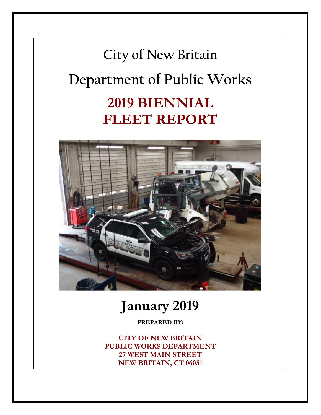



# **January 2019**

**PREPARED BY:** 

**CITY OF NEW BRITAIN PUBLIC WORKS DEPARTMENT 27 WEST MAIN STREET NEW BRITAIN, CT 06051**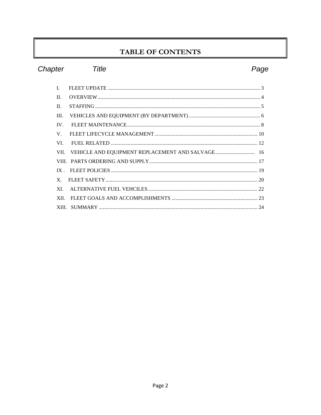### TABLE OF CONTENTS

| Chapter        | Title | Page |
|----------------|-------|------|
| L              |       |      |
| $\Pi$ .        |       |      |
| $\Pi$ .        |       |      |
| III.           |       |      |
| IV.            |       |      |
| V              |       |      |
| VI.            |       |      |
| VII.           |       |      |
|                |       |      |
| IX             |       |      |
| $\mathbf{X}$ . |       |      |
| XL             |       |      |
| <b>XII</b>     |       |      |
|                |       |      |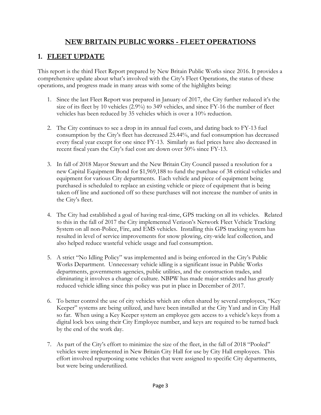### **NEW BRITAIN PUBLIC WORKS - FLEET OPERATIONS**

### **1. FLEET UPDATE**

This report is the third Fleet Report prepared by New Britain Public Works since 2016. It provides a comprehensive update about what's involved with the City's Fleet Operations, the status of these operations, and progress made in many areas with some of the highlights being:

- 1. Since the last Fleet Report was prepared in January of 2017, the City further reduced it's the size of its fleet by 10 vehicles (2.9%) to 349 vehicles, and since FY-16 the number of fleet vehicles has been reduced by 35 vehicles which is over a 10% reduction.
- 2. The City continues to see a drop in its annual fuel costs, and dating back to FY-13 fuel consumption by the City's fleet has decreased 25.44%, and fuel consumption has decreased every fiscal year except for one since FY-13. Similarly as fuel prices have also decreased in recent fiscal years the City's fuel cost are down over 50% since FY-13.
- 3. In fall of 2018 Mayor Stewart and the New Britain City Council passed a resolution for a new Capital Equipment Bond for \$1,969,188 to fund the purchase of 38 critical vehicles and equipment for various City departments. Each vehicle and piece of equipment being purchased is scheduled to replace an existing vehicle or piece of equipment that is being taken off line and auctioned off so these purchases will not increase the number of units in the City's fleet.
- 4. The City had established a goal of having real-time, GPS tracking on all its vehicles. Related to this in the fall of 2017 the City implemented Verizon's Network Fleet Vehicle Tracking System on all non-Police, Fire, and EMS vehicles. Installing this GPS tracking system has resulted in level of service improvements for snow plowing, city-wide leaf collection, and also helped reduce wasteful vehicle usage and fuel consumption.
- 5. A strict "No Idling Policy" was implemented and is being enforced in the City's Public Works Department. Unnecessary vehicle idling is a significant issue in Public Works departments, governments agencies, public utilities, and the construction trades, and eliminating it involves a change of culture. NBPW has made major strides and has greatly reduced vehicle idling since this policy was put in place in December of 2017.
- 6. To better control the use of city vehicles which are often shared by several employees, "Key Keeper" systems are being utilized, and have been installed at the City Yard and in City Hall so far. When using a Key Keeper system an employee gets access to a vehicle's keys from a digital lock box using their City Employee number, and keys are required to be turned back by the end of the work day.
- 7. As part of the City's effort to minimize the size of the fleet, in the fall of 2018 "Pooled" vehicles were implemented in New Britain City Hall for use by City Hall employees. This effort involved repurposing some vehicles that were assigned to specific City departments, but were being underutilized.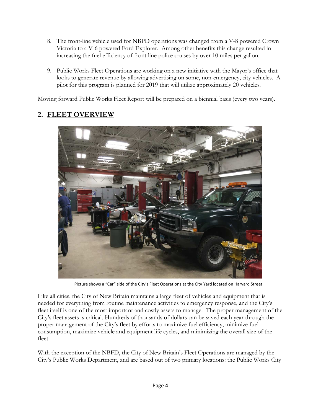- 8. The front-line vehicle used for NBPD operations was changed from a V-8 powered Crown Victoria to a V-6 powered Ford Explorer. Among other benefits this change resulted in increasing the fuel efficiency of front line police cruises by over 10 miles per gallon.
- 9. Public Works Fleet Operations are working on a new initiative with the Mayor's office that looks to generate revenue by allowing advertising on some, non-emergency, city vehicles. A pilot for this program is planned for 2019 that will utilize approximately 20 vehicles.

Moving forward Public Works Fleet Report will be prepared on a biennial basis (every two years).

### **2. FLEET OVERVIEW**



Picture shows a "Car" side of the City's Fleet Operations at the City Yard located on Harvard Street

Like all cities, the City of New Britain maintains a large fleet of vehicles and equipment that is needed for everything from routine maintenance activities to emergency response, and the City's fleet itself is one of the most important and costly assets to manage. The proper management of the City's fleet assets is critical. Hundreds of thousands of dollars can be saved each year through the proper management of the City's fleet by efforts to maximize fuel efficiency, minimize fuel consumption, maximize vehicle and equipment life cycles, and minimizing the overall size of the fleet.

With the exception of the NBFD, the City of New Britain's Fleet Operations are managed by the City's Public Works Department, and are based out of two primary locations: the Public Works City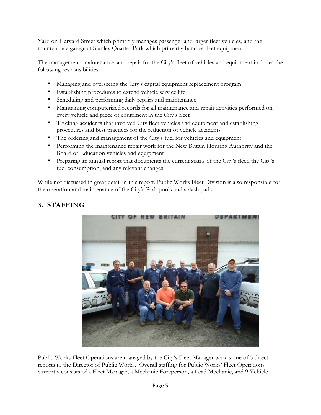Yard on Harvard Street which primarily manages passenger and larger fleet vehicles, and the maintenance garage at Stanley Quarter Park which primarily handles fleet equipment.

The management, maintenance, and repair for the City's fleet of vehicles and equipment includes the following responsibilities:

- Managing and overseeing the City's capital equipment replacement program
- Establishing procedures to extend vehicle service life
- Scheduling and performing daily repairs and maintenance
- Maintaining computerized records for all maintenance and repair activities performed on every vehicle and piece of equipment in the City's fleet
- Tracking accidents that involved City fleet vehicles and equipment and establishing procedures and best practices for the reduction of vehicle accidents
- The ordering and management of the City's fuel for vehicles and equipment
- Performing the maintenance repair work for the New Britain Housing Authority and the Board of Education vehicles and equipment
- Preparing an annual report that documents the current status of the City's fleet, the City's fuel consumption, and any relevant changes

While not discussed in great detail in this report, Public Works Fleet Division is also responsible for the operation and maintenance of the City's Park pools and splash pads.

### **3. STAFFING**



Public Works Fleet Operations are managed by the City's Fleet Manager who is one of 5 direct reports to the Director of Public Works. Overall staffing for Public Works' Fleet Operations currently consists of a Fleet Manager, a Mechanic Foreperson, a Lead Mechanic, and 9 Vehicle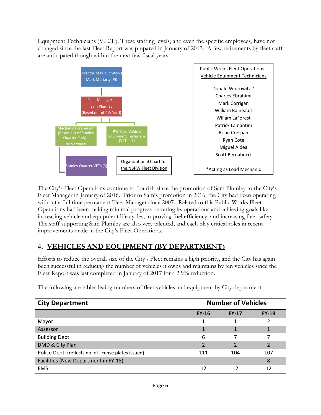Equipment Technicians (V.E.T.). These staffing levels, and even the specific employees, have not changed since the last Fleet Report was prepared in January of 2017. A few retirements by fleet staff are anticipated though within the next few fiscal years.



The City's Fleet Operations continue to flourish since the promotion of Sam Plumley to the City's Fleet Manager in January of 2016. Prior to Sam's promotion in 2016, the City had been operating without a full time permanent Fleet Manager since 2007. Related to this Public Works Fleet Operations had been making minimal progress bettering its operations and achieving goals like increasing vehicle and equipment life cycles, improving fuel efficiency, and increasing fleet safety. The staff supporting Sam Plumley are also very talented, and each play critical roles in recent improvements made in the City's Fleet Operations.

### **4. VEHICLES AND EQUIPMENT (BY DEPARTMENT)**

Efforts to reduce the overall size of the City's Fleet remains a high priority, and the City has again been successful in reducing the number of vehicles it owns and maintains by ten vehicles since the Fleet Report was last completed in January of 2017 for a 2.9% reduction.

| <b>City Department</b>                               |                          | <b>Number of Vehicles</b> |         |
|------------------------------------------------------|--------------------------|---------------------------|---------|
|                                                      | $FY-16$                  | $FY-17$                   | $FY-19$ |
| Mayor                                                |                          |                           |         |
| Assessor                                             |                          |                           |         |
| <b>Building Dept.</b>                                | 6                        |                           |         |
| DMD & City Plan                                      | $\overline{\mathcal{L}}$ | ำ                         |         |
| Police Dept. (reflects no. of license plates issued) | 111                      | 104                       | 107     |
| Facilities (New Department in FY-18)                 |                          |                           | 8       |
| <b>EMS</b>                                           | 12                       | 12                        | 12      |

The following are tables listing numbers of fleet vehicles and equipment by City department.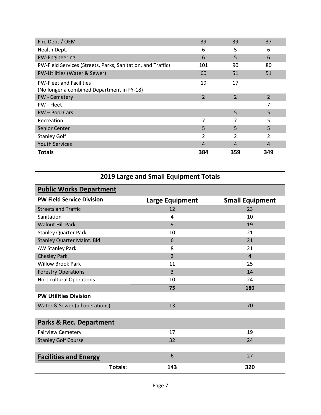| Fire Dept./ OEM                                             | 39             | 39             | 37                       |
|-------------------------------------------------------------|----------------|----------------|--------------------------|
| Health Dept.                                                | 6              | 5              | 6                        |
| PW-Engineering                                              | 6              | 5              | 6                        |
| PW-Field Services (Streets, Parks, Sanitation, and Traffic) | 101            | 90             | 80                       |
| PW-Utilities (Water & Sewer)                                | 60             | 51             | 51                       |
| <b>PW-Fleet and Facilities</b>                              | 19             | 17             |                          |
| (No longer a combined Department in FY-18)                  |                |                |                          |
| PW - Cemetery                                               | $\overline{2}$ | $\overline{2}$ | $\overline{\phantom{a}}$ |
| PW - Fleet                                                  |                |                | 7                        |
| <b>PW-Pool Cars</b>                                         |                | 5              | 5                        |
| Recreation                                                  | 7              | 7              | 5                        |
| Senior Center                                               | 5              | 5              | 5                        |
| <b>Stanley Golf</b>                                         | 2              | $\overline{2}$ | 2                        |
| <b>Youth Services</b>                                       | 4              | 4              | 4                        |
| Totals                                                      | 384            | 359            | 349                      |

### **2019 Large and Small Equipment Totals**

| <b>Public Works Department</b>     |         |                        |                        |  |
|------------------------------------|---------|------------------------|------------------------|--|
| <b>PW Field Service Division</b>   |         | <b>Large Equipment</b> | <b>Small Equipment</b> |  |
| <b>Streets and Traffic</b>         |         | 12                     | 23                     |  |
| Sanitation                         |         | 4                      | 10                     |  |
| <b>Walnut Hill Park</b>            |         | 9                      | 19                     |  |
| <b>Stanley Quarter Park</b>        |         | 10                     | 21                     |  |
| Stanley Quarter Maint. Bld.        |         | 6                      | 21                     |  |
| <b>AW Stanley Park</b>             |         | 8                      | 21                     |  |
| <b>Chesley Park</b>                |         | $\overline{2}$         | $\overline{4}$         |  |
| <b>Willow Brook Park</b>           |         | 11                     | 25                     |  |
| <b>Forestry Operations</b>         |         | $\overline{3}$         | 14                     |  |
| <b>Horticultural Operations</b>    |         | 10                     | 24                     |  |
|                                    |         | 75                     | 180                    |  |
| <b>PW Utilities Division</b>       |         |                        |                        |  |
| Water & Sewer (all operations)     |         | 13                     | 70                     |  |
|                                    |         |                        |                        |  |
| <b>Parks &amp; Rec. Department</b> |         |                        |                        |  |
| <b>Fairview Cemetery</b>           |         | 17                     | 19                     |  |
| <b>Stanley Golf Course</b>         |         | 32                     | 24                     |  |
|                                    |         |                        |                        |  |
| <b>Facilities and Energy</b>       |         | 6                      | 27                     |  |
|                                    | Totals: | 143                    | 320                    |  |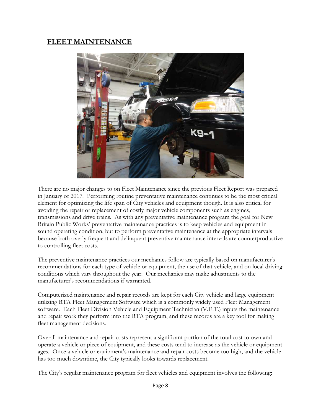### **FLEET MAINTENANCE**



There are no major changes to on Fleet Maintenance since the previous Fleet Report was prepared in January of 2017. Performing routine preventative maintenance continues to be the most critical element for optimizing the life span of City vehicles and equipment though. It is also critical for avoiding the repair or replacement of costly major vehicle components such as engines, transmissions and drive trains. As with any preventative maintenance program the goal for New Britain Public Works' preventative maintenance practices is to keep vehicles and equipment in sound operating condition, but to perform preventative maintenance at the appropriate intervals because both overly frequent and delinquent preventive maintenance intervals are counterproductive to controlling fleet costs.

The preventive maintenance practices our mechanics follow are typically based on manufacturer's recommendations for each type of vehicle or equipment, the use of that vehicle, and on local driving conditions which vary throughout the year. Our mechanics may make adjustments to the manufacturer's recommendations if warranted.

Computerized maintenance and repair records are kept for each City vehicle and large equipment utilizing RTA Fleet Management Software which is a commonly widely used Fleet Management software. Each Fleet Division Vehicle and Equipment Technician (V.E.T.) inputs the maintenance and repair work they perform into the RTA program, and these records are a key tool for making fleet management decisions.

Overall maintenance and repair costs represent a significant portion of the total cost to own and operate a vehicle or piece of equipment, and these costs tend to increase as the vehicle or equipment ages. Once a vehicle or equipment's maintenance and repair costs become too high, and the vehicle has too much downtime, the City typically looks towards replacement.

The City's regular maintenance program for fleet vehicles and equipment involves the following: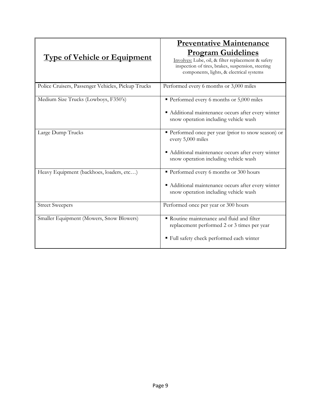|                                                    | <b>Preventative Maintenance</b>                                                                                                                                                  |
|----------------------------------------------------|----------------------------------------------------------------------------------------------------------------------------------------------------------------------------------|
| <b>Type of Vehicle or Equipment</b>                | <b>Program Guidelines</b><br>Involves: Lube, oil, & filter replacement & safety<br>inspection of tires, brakes, suspension, steering<br>components, lights, & electrical systems |
| Police Cruisers, Passenger Vehicles, Pickup Trucks | Performed every 6 months or 3,000 miles                                                                                                                                          |
| Medium Size Trucks (Lowboys, F350's)               | Performed every 6 months or 5,000 miles                                                                                                                                          |
|                                                    | • Additional maintenance occurs after every winter<br>snow operation including vehicle wash                                                                                      |
| Large Dump Trucks                                  | Performed once per year (prior to snow season) or<br>every 5,000 miles                                                                                                           |
|                                                    | Additional maintenance occurs after every winter<br>snow operation including vehicle wash                                                                                        |
| Heavy Equipment (backhoes, loaders, etc)           | Performed every 6 months or 300 hours                                                                                                                                            |
|                                                    | Additional maintenance occurs after every winter<br>snow operation including vehicle wash                                                                                        |
| <b>Street Sweepers</b>                             | Performed once per year or 300 hours                                                                                                                                             |
| Smaller Equipment (Mowers, Snow Blowers)           | Routine maintenance and fluid and filter<br>replacement performed 2 or 3 times per year                                                                                          |
|                                                    | ■ Full safety check performed each winter                                                                                                                                        |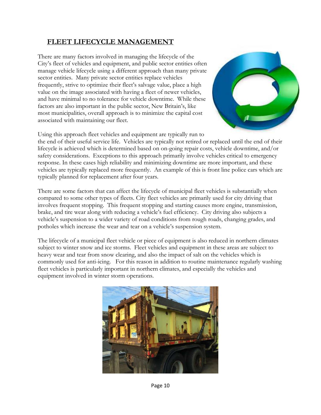### **FLEET LIFECYCLE MANAGEMENT**

There are many factors involved in managing the lifecycle of the City's fleet of vehicles and equipment, and public sector entities often manage vehicle lifecycle using a different approach than many private sector entities. Many private sector entities replace vehicles frequently, strive to optimize their fleet's salvage value, place a high value on the image associated with having a fleet of newer vehicles, and have minimal to no tolerance for vehicle downtime. While these factors are also important in the public sector, New Britain's, like most municipalities, overall approach is to minimize the capital cost associated with maintaining our fleet.



Using this approach fleet vehicles and equipment are typically run to

the end of their useful service life. Vehicles are typically not retired or replaced until the end of their lifecycle is achieved which is determined based on on-going repair costs, vehicle downtime, and/or safety considerations. Exceptions to this approach primarily involve vehicles critical to emergency response. In these cases high reliability and minimizing downtime are more important, and these vehicles are typically replaced more frequently. An example of this is front line police cars which are typically planned for replacement after four years.

There are some factors that can affect the lifecycle of municipal fleet vehicles is substantially when compared to some other types of fleets. City fleet vehicles are primarily used for city driving that involves frequent stopping. This frequent stopping and starting causes more engine, transmission, brake, and tire wear along with reducing a vehicle's fuel efficiency. City driving also subjects a vehicle's suspension to a wider variety of road conditions from rough roads, changing grades, and potholes which increase the wear and tear on a vehicle's suspension system.

The lifecycle of a municipal fleet vehicle or piece of equipment is also reduced in northern climates subject to winter snow and ice storms. Fleet vehicles and equipment in these areas are subject to heavy wear and tear from snow clearing, and also the impact of salt on the vehicles which is commonly used for anti-icing. For this reason in addition to routine maintenance regularly washing fleet vehicles is particularly important in northern climates, and especially the vehicles and equipment involved in winter storm operations.

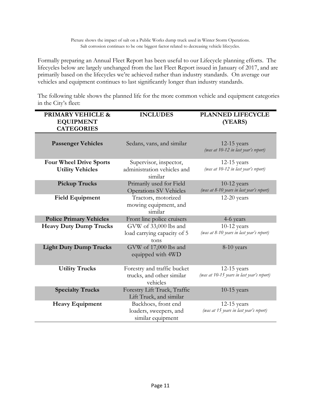Formally preparing an Annual Fleet Report has been useful to our Lifecycle planning efforts. The lifecycles below are largely unchanged from the last Fleet Report issued in January of 2017, and are primarily based on the lifecycles we're achieved rather than industry standards. On average our vehicles and equipment continues to last significantly longer than industry standards.

The following table shows the planned life for the more common vehicle and equipment categories in the City's fleet:

| <b>PRIMARY VEHICLE &amp;</b><br><b>EQUIPMENT</b><br><b>CATEGORIES</b> | <b>INCLUDES</b>                                                      | <b>PLANNED LIFECYCLE</b><br>(YEARS)                         |
|-----------------------------------------------------------------------|----------------------------------------------------------------------|-------------------------------------------------------------|
| <b>Passenger Vehicles</b>                                             | Sedans, vans, and similar                                            | $12-15$ years<br>(was at 10-12 in last year's report)       |
| <b>Four Wheel Drive Sports</b><br><b>Utility Vehicles</b>             | Supervisor, inspector,<br>administration vehicles and<br>similar     | $12-15$ years<br>(was at 10-12 in last year's report)       |
| <b>Pickup Trucks</b>                                                  | Primarily used for Field<br><b>Operations SV Vehicles</b>            | $10-12$ years<br>(was at 8-10 years in last year's report)  |
| <b>Field Equipment</b>                                                | Tractors, motorized<br>mowing equipment, and<br>similar              | $12-20$ years                                               |
| <b>Police Primary Vehicles</b>                                        | Front line police cruisers                                           | 4-6 years                                                   |
| <b>Heavy Duty Dump Trucks</b>                                         | GVW of 33,000 lbs and<br>load carrying capacity of 5<br>tons         | $10-12$ years<br>(was at 8-10 years in last year's report)  |
| <b>Light Duty Dump Trucks</b>                                         | GVW of 17,000 lbs and<br>equipped with 4WD                           | 8-10 years                                                  |
| <b>Utility Trucks</b>                                                 | Forestry and traffic bucket<br>trucks, and other similar<br>vehicles | $12-15$ years<br>(was at 10-15 years in last year's report) |
| <b>Specialty Trucks</b>                                               | Forestry Lift Truck, Traffic<br>Lift Truck, and similar              | $10-15$ years                                               |
| <b>Heavy Equipment</b>                                                | Backhoes, front end<br>loaders, sweepers, and<br>similar equipment   | $12-15$ years<br>(was at 15 years in last year's report)    |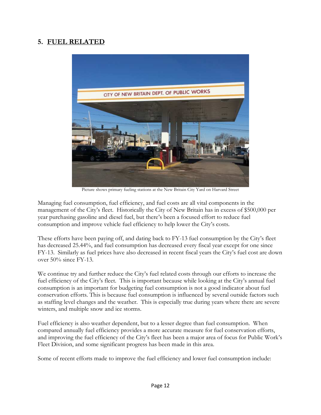### **5. FUEL RELATED**



Picture shows primary fueling stations at the New Britain City Yard on Harvard Street

Managing fuel consumption, fuel efficiency, and fuel costs are all vital components in the management of the City's fleet. Historically the City of New Britain has in excess of \$500,000 per year purchasing gasoline and diesel fuel, but there's been a focused effort to reduce fuel consumption and improve vehicle fuel efficiency to help lower the City's costs.

These efforts have been paying off, and dating back to FY-13 fuel consumption by the City's fleet has decreased 25.44%, and fuel consumption has decreased every fiscal year except for one since FY-13. Similarly as fuel prices have also decreased in recent fiscal years the City's fuel cost are down over 50% since FY-13.

We continue try and further reduce the City's fuel related costs through our efforts to increase the fuel efficiency of the City's fleet. This is important because while looking at the City's annual fuel consumption is an important for budgeting fuel consumption is not a good indicator about fuel conservation efforts. This is because fuel consumption is influenced by several outside factors such as staffing level changes and the weather. This is especially true during years where there are severe winters, and multiple snow and ice storms.

Fuel efficiency is also weather dependent, but to a lesser degree than fuel consumption. When compared annually fuel efficiency provides a more accurate measure for fuel conservation efforts, and improving the fuel efficiency of the City's fleet has been a major area of focus for Public Work's Fleet Division, and some significant progress has been made in this area.

Some of recent efforts made to improve the fuel efficiency and lower fuel consumption include: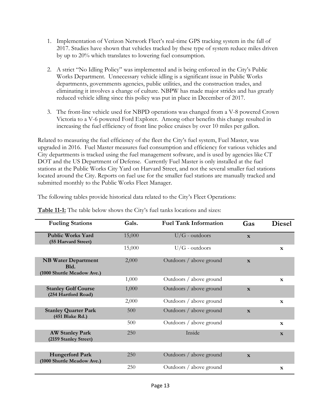- 1. Implementation of Verizon Network Fleet's real-time GPS tracking system in the fall of 2017. Studies have shown that vehicles tracked by these type of system reduce miles driven by up to 20% which translates to lowering fuel consumption.
- 2. A strict "No Idling Policy" was implemented and is being enforced in the City's Public Works Department. Unnecessary vehicle idling is a significant issue in Public Works departments, governments agencies, public utilities, and the construction trades, and eliminating it involves a change of culture. NBPW has made major strides and has greatly reduced vehicle idling since this policy was put in place in December of 2017.
- 3. The front-line vehicle used for NBPD operations was changed from a V-8 powered Crown Victoria to a V-6 powered Ford Explorer. Among other benefits this change resulted in increasing the fuel efficiency of front line police cruises by over 10 miles per gallon.

Related to measuring the fuel efficiency of the fleet the City's fuel system, Fuel Master, was upgraded in 2016. Fuel Master measures fuel consumption and efficiency for various vehicles and City departments is tracked using the fuel management software, and is used by agencies like CT DOT and the US Department of Defense. Currently Fuel Master is only installed at the fuel stations at the Public Works City Yard on Harvard Street, and not the several smaller fuel stations located around the City. Reports on fuel use for the smaller fuel stations are manually tracked and submitted monthly to the Public Works Fleet Manager.

The following tables provide historical data related to the City's Fleet Operations:

| <b>Fueling Stations</b>                                          | Gals.  | <b>Fuel Tank Information</b> | Gas          | <b>Diesel</b> |
|------------------------------------------------------------------|--------|------------------------------|--------------|---------------|
| <b>Public Works Yard</b><br>(55 Harvard Street)                  | 15,000 | $U/G$ - outdoors             | $\mathbf{x}$ |               |
|                                                                  | 15,000 | $U/G$ - outdoors             |              | $\mathbf{x}$  |
| <b>NB Water Department</b><br>Bld.<br>(1000 Shuttle Meadow Ave.) | 2,000  | Outdoors / above ground      | $\mathbf{x}$ |               |
|                                                                  | 1,000  | Outdoors / above ground      |              | $\mathbf{x}$  |
| <b>Stanley Golf Course</b><br>(254 Hartford Road)                | 1,000  | Outdoors / above ground      | $\mathbf{x}$ |               |
|                                                                  | 2,000  | Outdoors / above ground      |              | $\mathbf{x}$  |
| <b>Stanley Quarter Park</b><br>(451 Blake Rd.)                   | 500    | Outdoors / above ground      | $\mathbf{x}$ |               |
|                                                                  | 500    | Outdoors / above ground      |              | $\mathbf{x}$  |
| <b>AW Stanley Park</b><br>(2159 Stanley Street)                  | 250    | Inside                       |              | $\mathbf{x}$  |
|                                                                  |        |                              |              |               |
| <b>Hungerford Park</b><br>(1000 Shuttle Meadow Ave.)             | 250    | Outdoors / above ground      | $\mathbf{x}$ |               |
|                                                                  | 250    | Outdoors / above ground      |              | $\mathbf{x}$  |

**Table 11-1:** The table below shows the City's fuel tanks locations and sizes: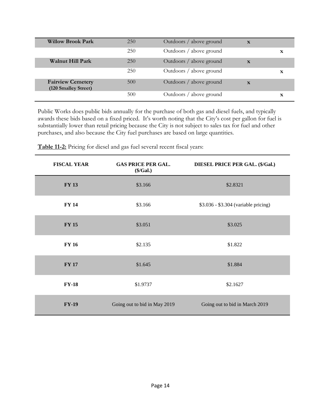| <b>Willow Brook Park</b>                         | 250 | Outdoors / above ground | $\mathbf x$ |   |
|--------------------------------------------------|-----|-------------------------|-------------|---|
|                                                  | 250 | Outdoors / above ground |             | x |
| <b>Walnut Hill Park</b>                          | 250 | Outdoors / above ground | $\mathbf x$ |   |
|                                                  | 250 | Outdoors / above ground |             | X |
| <b>Fairview Cemetery</b><br>(120 Smalley Street) | 500 | Outdoors / above ground | $\mathbf x$ |   |
|                                                  | 500 | Outdoors / above ground |             | X |

Public Works does public bids annually for the purchase of both gas and diesel fuels, and typically awards these bids based on a fixed priced. It's worth noting that the City's cost per gallon for fuel is substantially lower than retail pricing because the City is not subject to sales tax for fuel and other purchases, and also because the City fuel purchases are based on large quantities.

| <b>FISCAL YEAR</b> | <b>GAS PRICE PER GAL.</b><br>(\$/Gal.) | DIESEL PRICE PER GAL. (\$/Gal.)      |
|--------------------|----------------------------------------|--------------------------------------|
| <b>FY 13</b>       | \$3.166                                | \$2.8321                             |
| <b>FY 14</b>       | \$3.166                                | \$3.036 - \$3.304 (variable pricing) |
| <b>FY 15</b>       | \$3.051                                | \$3.025                              |
| <b>FY 16</b>       | \$2.135                                | \$1.822                              |
| <b>FY 17</b>       | \$1.645                                | \$1.884                              |
| $FY-18$            | \$1.9737                               | \$2.1627                             |
| <b>FY-19</b>       | Going out to bid in May 2019           | Going out to bid in March 2019       |

**Table 11-2:** Pricing for diesel and gas fuel several recent fiscal years: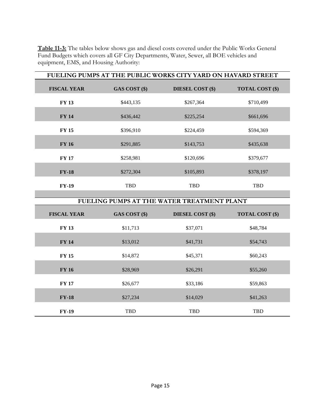**Table 11-3:** The tables below shows gas and diesel costs covered under the Public Works General Fund Budgets which covers all GF City Departments, Water, Sewer, all BOE vehicles and equipment, EMS, and Housing Authority:

| FUELING PUMPS AT THE PUBLIC WORKS CITY YARD ON HAVARD STREET |               |                                            |                        |  |
|--------------------------------------------------------------|---------------|--------------------------------------------|------------------------|--|
| <b>FISCAL YEAR</b>                                           | GAS COST (\$) | <b>DIESEL COST (\$)</b>                    | <b>TOTAL COST (\$)</b> |  |
| <b>FY 13</b>                                                 | \$443,135     | \$267,364                                  | \$710,499              |  |
| <b>FY 14</b>                                                 | \$436,442     | \$225,254                                  | \$661,696              |  |
| <b>FY 15</b>                                                 | \$396,910     | \$224,459                                  | \$594,369              |  |
| <b>FY 16</b>                                                 | \$291,885     | \$143,753                                  | \$435,638              |  |
| <b>FY 17</b>                                                 | \$258,981     | \$120,696                                  | \$379,677              |  |
| $FY-18$                                                      | \$272,304     | \$105,893                                  | \$378,197              |  |
| <b>FY-19</b>                                                 | <b>TBD</b>    | <b>TBD</b>                                 | TBD                    |  |
|                                                              |               | FUELING PUMPS AT THE WATER TREATMENT PLANT |                        |  |
|                                                              |               |                                            |                        |  |
| <b>FISCAL YEAR</b>                                           | GAS COST (\$) | <b>DIESEL COST (\$)</b>                    | <b>TOTAL COST (\$)</b> |  |
| <b>FY 13</b>                                                 | \$11,713      | \$37,071                                   | \$48,784               |  |

**FY 14** \$13,012 \$41,731 \$54,743

**FY 15** \$14,872 \$45,371 \$60,243

**FY 16**  $$28,969$   $$26,291$   $$55,260$ 

**FY 17** \$26,677 \$33,186 \$59,863

**FY-18** \$27,234 \$14,029 \$41,263

**FY-19** TBD TBD TBD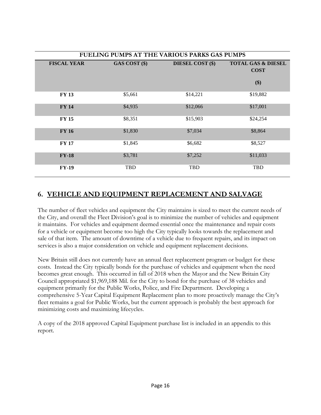| FUELING PUMPS AT THE VARIOUS PARKS GAS PUMPS |               |                         |                                                     |  |
|----------------------------------------------|---------------|-------------------------|-----------------------------------------------------|--|
| <b>FISCAL YEAR</b>                           | GAS COST (\$) | <b>DIESEL COST (\$)</b> | <b>TOTAL GAS &amp; DIESEL</b><br><b>COST</b><br>\$) |  |
| <b>FY 13</b>                                 | \$5,661       | \$14,221                | \$19,882                                            |  |
| <b>FY 14</b>                                 | \$4,935       | \$12,066                | \$17,001                                            |  |
| <b>FY 15</b>                                 | \$8,351       | \$15,903                | \$24,254                                            |  |
| <b>FY 16</b>                                 | \$1,830       | \$7,034                 | \$8,864                                             |  |
| <b>FY 17</b>                                 | \$1,845       | \$6,682                 | \$8,527                                             |  |
| $FY-18$                                      | \$3,781       | \$7,252                 | \$11,033                                            |  |
| <b>FY-19</b>                                 | <b>TBD</b>    | <b>TBD</b>              | <b>TBD</b>                                          |  |

### **6. VEHICLE AND EQUIPMENT REPLACEMENT AND SALVAGE**

The number of fleet vehicles and equipment the City maintains is sized to meet the current needs of the City, and overall the Fleet Division's goal is to minimize the number of vehicles and equipment it maintains. For vehicles and equipment deemed essential once the maintenance and repair costs for a vehicle or equipment become too high the City typically looks towards the replacement and sale of that item. The amount of downtime of a vehicle due to frequent repairs, and its impact on services is also a major consideration on vehicle and equipment replacement decisions.

New Britain still does not currently have an annual fleet replacement program or budget for these costs. Instead the City typically bonds for the purchase of vehicles and equipment when the need becomes great enough. This occurred in fall of 2018 when the Mayor and the New Britain City Council appropriated \$1,969,188 Mil. for the City to bond for the purchase of 38 vehicles and equipment primarily for the Public Works, Police, and Fire Department. Developing a comprehensive 5-Year Capital Equipment Replacement plan to more proactively manage the City's fleet remains a goal for Public Works, but the current approach is probably the best approach for minimizing costs and maximizing lifecycles.

A copy of the 2018 approved Capital Equipment purchase list is included in an appendix to this report.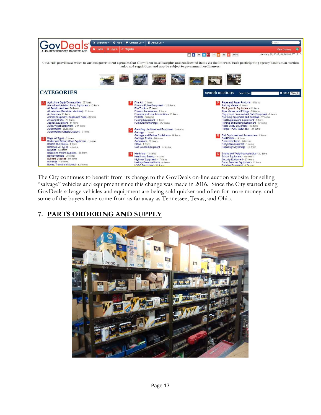

The City continues to benefit from its change to the GovDeals on-line auction website for selling "salvage" vehicles and equipment since this change was made in 2016. Since the City started using GovDeals salvage vehicles and equipment are being sold quicker and often for more money, and some of the buyers have come from as far away as Tennessee, Texas, and Ohio.

### **7. PARTS ORDERING AND SUPPLY**

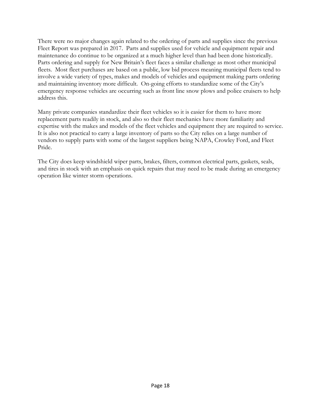There were no major changes again related to the ordering of parts and supplies since the previous Fleet Report was prepared in 2017. Parts and supplies used for vehicle and equipment repair and maintenance do continue to be organized at a much higher level than had been done historically. Parts ordering and supply for New Britain's fleet faces a similar challenge as most other municipal fleets. Most fleet purchases are based on a public, low bid process meaning municipal fleets tend to involve a wide variety of types, makes and models of vehicles and equipment making parts ordering and maintaining inventory more difficult. On-going efforts to standardize some of the City's emergency response vehicles are occurring such as front line snow plows and police cruisers to help address this.

Many private companies standardize their fleet vehicles so it is easier for them to have more replacement parts readily in stock, and also so their fleet mechanics have more familiarity and expertise with the makes and models of the fleet vehicles and equipment they are required to service. It is also not practical to carry a large inventory of parts so the City relies on a large number of vendors to supply parts with some of the largest suppliers being NAPA, Crowley Ford, and Fleet Pride.

The City does keep windshield wiper parts, brakes, filters, common electrical parts, gaskets, seals, and tires in stock with an emphasis on quick repairs that may need to be made during an emergency operation like winter storm operations.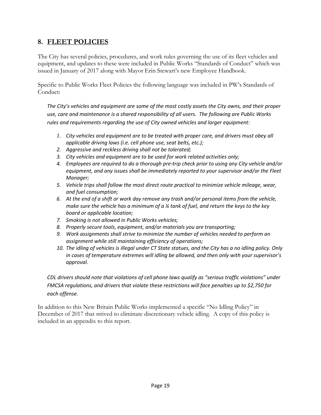### **8. FLEET POLICIES**

The City has several policies, procedures, and work rules governing the use of its fleet vehicles and equipment, and updates to these were included in Public Works "Standards of Conduct" which was issued in January of 2017 along with Mayor Erin Stewart's new Employee Handbook.

Specific to Public Works Fleet Policies the following language was included in PW's Standards of Conduct:

*The City's vehicles and equipment are some of the most costly assets the City owns, and their proper use, care and maintenance is a shared responsibility of all users. The following are Public Works rules and requirements regarding the use of City owned vehicles and larger equipment:* 

- *1. City vehicles and equipment are to be treated with proper care, and drivers must obey all applicable driving laws (i.e. cell phone use, seat belts, etc.);*
- *2. Aggressive and reckless driving shall not be tolerated;*
- *3. City vehicles and equipment are to be used for work related activities only;*
- *4. Employees are required to do a thorough pre-trip check prior to using any City vehicle and/or equipment, and any issues shall be immediately reported to your supervisor and/or the Fleet Manager;*
- *5. Vehicle trips shall follow the most direct route practical to minimize vehicle mileage, wear, and fuel consumption;*
- *6. At the end of a shift or work day remove any trash and/or personal items from the vehicle, make sure the vehicle has a minimum of a ¼ tank of fuel, and return the keys to the key board or applicable location;*
- *7. Smoking is not allowed in Public Works vehicles;*
- *8. Properly secure tools, equipment, and/or materials you are transporting;*
- *9. Work assignments shall strive to minimize the number of vehicles needed to perform an assignment while still maintaining efficiency of operations;*
- *10. The idling of vehicles is illegal under CT State statues, and the City has a no idling policy. Only in cases of temperature extremes will idling be allowed, and then only with your supervisor's approval.*

### *CDL drivers should note that violations of cell phone laws qualify as "serious traffic violations" under FMCSA regulations, and drivers that violate these restrictions will face penalties up to \$2,750 for each offense.*

In addition to this New Britain Public Works implemented a specific "No Idling Policy" in December of 2017 that strived to eliminate discretionary vehicle idling. A copy of this policy is included in an appendix to this report.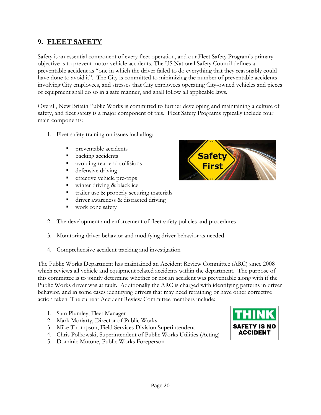### **9. FLEET SAFETY**

Safety is an essential component of every fleet operation, and our Fleet Safety Program's primary objective is to prevent motor vehicle accidents. The US National Safety Council defines a preventable accident as "one in which the driver failed to do everything that they reasonably could have done to avoid it". The City is committed to minimizing the number of preventable accidents involving City employees, and stresses that City employees operating City-owned vehicles and pieces of equipment shall do so in a safe manner, and shall follow all applicable laws.

Overall, New Britain Public Works is committed to further developing and maintaining a culture of safety, and fleet safety is a major component of this. Fleet Safety Programs typically include four main components:

- 1. Fleet safety training on issues including:
	- preventable accidents
	- backing accidents
	- avoiding rear end collisions
	- defensive driving
	- **e** effective vehicle pre-trips
	- winter driving & black ice
	- trailer use & properly securing materials
	- driver awareness & distracted driving
	- work zone safety
- 2. The development and enforcement of fleet safety policies and procedures
- 3. Monitoring driver behavior and modifying driver behavior as needed
- 4. Comprehensive accident tracking and investigation

The Public Works Department has maintained an Accident Review Committee (ARC) since 2008 which reviews all vehicle and equipment related accidents within the department. The purpose of this committee is to jointly determine whether or not an accident was preventable along with if the Public Works driver was at fault. Additionally the ARC is charged with identifying patterns in driver behavior, and in some cases identifying drivers that may need retraining or have other corrective action taken. The current Accident Review Committee members include:

- 1. Sam Plumley, Fleet Manager
- 2. Mark Moriarty, Director of Public Works
- 3. Mike Thompson, Field Services Division Superintendent
- 4. Chris Polkowski, Superintendent of Public Works Utilities (Acting)
- 5. Dominic Mutone, Public Works Foreperson



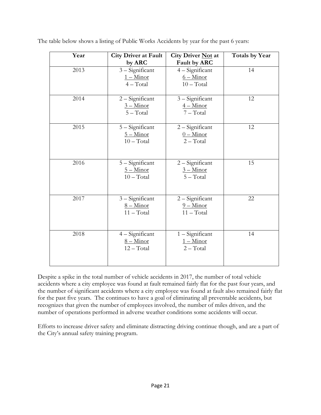| Year | <b>City Driver at Fault</b> | City Driver Not at | <b>Totals by Year</b> |
|------|-----------------------------|--------------------|-----------------------|
|      | by ARC                      | Fault by ARC       |                       |
| 2013 | 3 - Significant             | $4 -$ Significant  | 14                    |
|      | $1 -$ Minor                 | $6 -$ Minor        |                       |
|      | $4 - Total$                 | $10 - Total$       |                       |
| 2014 | $2 -$ Significant           | 3 - Significant    | 12                    |
|      | $3 -$ Minor                 | $4 -$ Minor        |                       |
|      | $5 - Total$                 | $7 - Total$        |                       |
|      |                             |                    |                       |
| 2015 | 5 - Significant             | $2 -$ Significant  | 12                    |
|      | $5 -$ Minor                 | $0 -$ Minor        |                       |
|      | $10 - Total$                | $2 - Total$        |                       |
|      |                             |                    |                       |
| 2016 | 5 - Significant             | $2 -$ Significant  | 15                    |
|      | $5 -$ Minor                 | $3 -$ Minor        |                       |
|      | $10 - Total$                | $5 - Total$        |                       |
|      |                             |                    |                       |
|      |                             |                    |                       |
| 2017 | 3 - Significant             | $2 -$ Significant  | 22                    |
|      | $8 -$ Minor                 | $9 -$ Minor        |                       |
|      | $11 - Total$                | $11 - Total$       |                       |
|      |                             |                    |                       |
| 2018 | 4 - Significant             | $1 -$ Significant  | 14                    |
|      | $8 -$ Minor                 | $1 -$ Minor        |                       |
|      | $12 - Total$                | $2 - Total$        |                       |
|      |                             |                    |                       |
|      |                             |                    |                       |

The table below shows a listing of Public Works Accidents by year for the past 6 years:

Despite a spike in the total number of vehicle accidents in 2017, the number of total vehicle accidents where a city employee was found at fault remained fairly flat for the past four years, and the number of significant accidents where a city employee was found at fault also remained fairly flat for the past five years. The continues to have a goal of eliminating all preventable accidents, but recognizes that given the number of employees involved, the number of miles driven, and the number of operations performed in adverse weather conditions some accidents will occur.

Efforts to increase driver safety and eliminate distracting driving continue though, and are a part of the City's annual safety training program.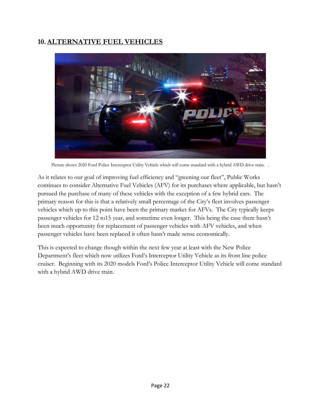### **10.ALTERNATIVE FUEL VEHICLES**



Picture shows 2020 Ford Police Interceptor Utility Vehicle which will come standard with a hybrid AWD drive train. .

As it relates to our goal of improving fuel efficiency and "greening our fleet", Public Works continues to consider Alternative Fuel Vehicles (AFV) for its purchases where applicable, but hasn't pursued the purchase of many of these vehicles with the exception of a few hybrid cars. The primary reason for this is that a relatively small percentage of the City's fleet involves passenger vehicles which up to this point have been the primary market for AFVs. The City typically keeps passenger vehicles for 12 to15 year, and sometime even longer. This being the case there hasn't been much opportunity for replacement of passenger vehicles with AFV vehicles, and when passenger vehicles have been replaced it often hasn't made sense economically.

This is expected to change though within the next few year at least with the New Police Department's fleet which now utilizes Ford's Interceptor Utility Vehicle as its front line police cruiser. Beginning with its 2020 models Ford's Police Interceptor Utility Vehicle will come standard with a hybrid AWD drive train.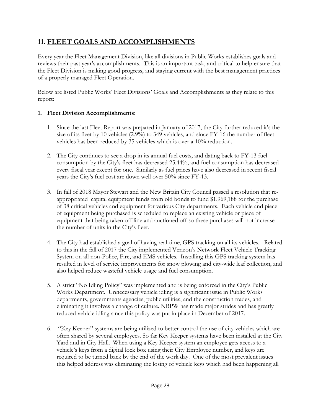### **11. FLEET GOALS AND ACCOMPLISHMENTS**

Every year the Fleet Management Division, like all divisions in Public Works establishes goals and reviews their past year's accomplishments. This is an important task, and critical to help ensure that the Fleet Division is making good progress, and staying current with the best management practices of a properly managed Fleet Operation.

Below are listed Public Works' Fleet Divisions' Goals and Accomplishments as they relate to this report:

### **1. Fleet Division Accomplishments:**

- 1. Since the last Fleet Report was prepared in January of 2017, the City further reduced it's the size of its fleet by 10 vehicles (2.9%) to 349 vehicles, and since FY-16 the number of fleet vehicles has been reduced by 35 vehicles which is over a 10% reduction.
- 2. The City continues to see a drop in its annual fuel costs, and dating back to FY-13 fuel consumption by the City's fleet has decreased 25.44%, and fuel consumption has decreased every fiscal year except for one. Similarly as fuel prices have also decreased in recent fiscal years the City's fuel cost are down well over 50% since FY-13.
- 3. In fall of 2018 Mayor Stewart and the New Britain City Council passed a resolution that reappropriated capital equipment funds from old bonds to fund \$1,969,188 for the purchase of 38 critical vehicles and equipment for various City departments. Each vehicle and piece of equipment being purchased is scheduled to replace an existing vehicle or piece of equipment that being taken off line and auctioned off so these purchases will not increase the number of units in the City's fleet.
- 4. The City had established a goal of having real-time, GPS tracking on all its vehicles. Related to this in the fall of 2017 the City implemented Verizon's Network Fleet Vehicle Tracking System on all non-Police, Fire, and EMS vehicles. Installing this GPS tracking system has resulted in level of service improvements for snow plowing and city-wide leaf collection, and also helped reduce wasteful vehicle usage and fuel consumption.
- 5. A strict "No Idling Policy" was implemented and is being enforced in the City's Public Works Department. Unnecessary vehicle idling is a significant issue in Public Works departments, governments agencies, public utilities, and the construction trades, and eliminating it involves a change of culture. NBPW has made major strides and has greatly reduced vehicle idling since this policy was put in place in December of 2017.
- 6. "Key Keeper" systems are being utilized to better control the use of city vehicles which are often shared by several employees. So far Key Keeper systems have been installed at the City Yard and in City Hall. When using a Key Keeper system an employee gets access to a vehicle's keys from a digital lock box using their City Employee number, and keys are required to be turned back by the end of the work day. One of the most prevalent issues this helped address was eliminating the losing of vehicle keys which had been happening all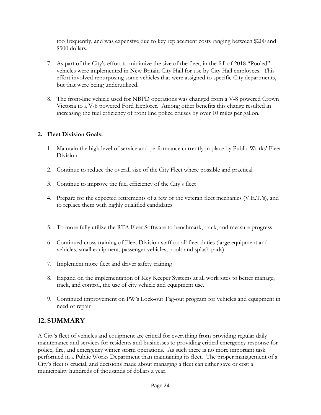too frequently, and was expensive due to key replacement costs ranging between \$200 and \$500 dollars.

- 7. As part of the City's effort to minimize the size of the fleet, in the fall of 2018 "Pooled" vehicles were implemented in New Britain City Hall for use by City Hall employees. This effort involved repurposing some vehicles that were assigned to specific City departments, but that were being underutilized.
- 8. The front-line vehicle used for NBPD operations was changed from a V-8 powered Crown Victoria to a V-6 powered Ford Explorer. Among other benefits this change resulted in increasing the fuel efficiency of front line police cruises by over 10 miles per gallon.

### **2. Fleet Division Goals:**

- 1. Maintain the high level of service and performance currently in place by Public Works' Fleet Division
- 2. Continue to reduce the overall size of the City Fleet where possible and practical
- 3. Continue to improve the fuel efficiency of the City's fleet
- 4. Prepare for the expected retirements of a few of the veteran fleet mechanics (V.E.T.'s), and to replace them with highly qualified candidates
- 5. To more fully utilize the RTA Fleet Software to benchmark, track, and measure progress
- 6. Continued cross training of Fleet Division staff on all fleet duties (large equipment and vehicles, small equipment, passenger vehicles, pools and splash pads)
- 7. Implement more fleet and driver safety training
- 8. Expand on the implementation of Key Keeper Systems at all work sites to better manage, track, and control, the use of city vehicle and equipment use.
- 9. Continued improvement on PW's Lock-out Tag-out program for vehicles and equipment in need of repair

### **12. SUMMARY**

A City's fleet of vehicles and equipment are critical for everything from providing regular daily maintenance and services for residents and businesses to providing critical emergency response for police, fire, and emergency winter storm operations. As such there is no more important task performed in a Public Works Department than maintaining its fleet. The proper management of a City's fleet is crucial, and decisions made about managing a fleet can either save or cost a municipality hundreds of thousands of dollars a year.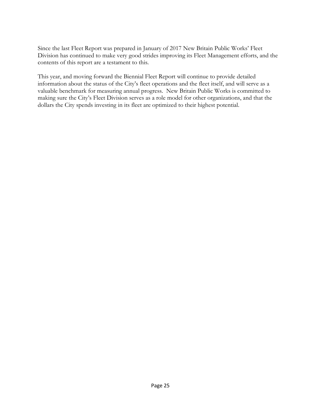Since the last Fleet Report was prepared in January of 2017 New Britain Public Works' Fleet Division has continued to make very good strides improving its Fleet Management efforts, and the contents of this report are a testament to this.

This year, and moving forward the Biennial Fleet Report will continue to provide detailed information about the status of the City's fleet operations and the fleet itself, and will serve as a valuable benchmark for measuring annual progress. New Britain Public Works is committed to making sure the City's Fleet Division serves as a role model for other organizations, and that the dollars the City spends investing in its fleet are optimized to their highest potential.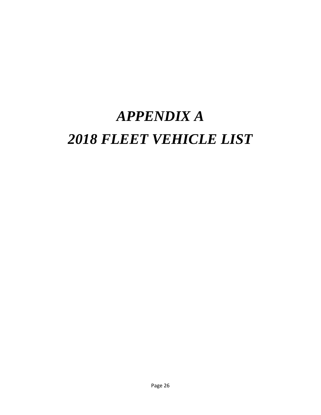# *APPENDIX A 2018 FLEET VEHICLE LIST*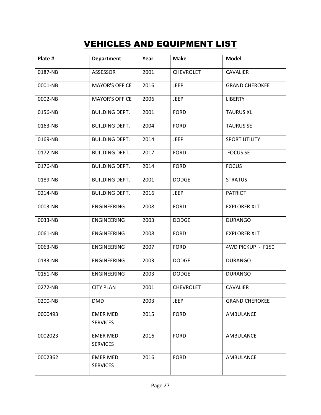### VEHICLES AND EQUIPMENT LIST

| Plate # | <b>Department</b>                  | Year | <b>Make</b>      | <b>Model</b>          |
|---------|------------------------------------|------|------------------|-----------------------|
| 0187-NB | ASSESSOR                           | 2001 | <b>CHEVROLET</b> | <b>CAVALIER</b>       |
| 0001-NB | <b>MAYOR'S OFFICE</b>              | 2016 | <b>JEEP</b>      | <b>GRAND CHEROKEE</b> |
| 0002-NB | <b>MAYOR'S OFFICE</b>              | 2006 | <b>JEEP</b>      | <b>LIBERTY</b>        |
| 0156-NB | <b>BUILDING DEPT.</b>              | 2001 | <b>FORD</b>      | <b>TAURUS XL</b>      |
| 0163-NB | <b>BUILDING DEPT.</b>              | 2004 | <b>FORD</b>      | <b>TAURUS SE</b>      |
| 0169-NB | <b>BUILDING DEPT.</b>              | 2014 | <b>JEEP</b>      | <b>SPORT UTILITY</b>  |
| 0172-NB | <b>BUILDING DEPT.</b>              | 2017 | <b>FORD</b>      | <b>FOCUS SE</b>       |
| 0176-NB | <b>BUILDING DEPT.</b>              | 2014 | <b>FORD</b>      | <b>FOCUS</b>          |
| 0189-NB | <b>BUILDING DEPT.</b>              | 2001 | <b>DODGE</b>     | <b>STRATUS</b>        |
| 0214-NB | <b>BUILDING DEPT.</b>              | 2016 | <b>JEEP</b>      | <b>PATRIOT</b>        |
| 0003-NB | ENGINEERING                        | 2008 | <b>FORD</b>      | <b>EXPLORER XLT</b>   |
| 0033-NB | ENGINEERING                        | 2003 | <b>DODGE</b>     | <b>DURANGO</b>        |
| 0061-NB | ENGINEERING                        | 2008 | <b>FORD</b>      | <b>EXPLORER XLT</b>   |
| 0063-NB | ENGINEERING                        | 2007 | <b>FORD</b>      | 4WD PICKUP - F150     |
| 0133-NB | ENGINEERING                        | 2003 | <b>DODGE</b>     | <b>DURANGO</b>        |
| 0151-NB | ENGINEERING                        | 2003 | <b>DODGE</b>     | <b>DURANGO</b>        |
| 0272-NB | <b>CITY PLAN</b>                   | 2001 | <b>CHEVROLET</b> | <b>CAVALIER</b>       |
| 0200-NB | <b>DMD</b>                         | 2003 | <b>JEEP</b>      | <b>GRAND CHEROKEE</b> |
| 0000493 | <b>EMER MED</b><br><b>SERVICES</b> | 2015 | <b>FORD</b>      | AMBULANCE             |
| 0002023 | <b>EMER MED</b>                    | 2016 | <b>FORD</b>      | AMBULANCE             |
|         | <b>SERVICES</b>                    |      |                  |                       |
| 0002362 | <b>EMER MED</b><br><b>SERVICES</b> | 2016 | <b>FORD</b>      | AMBULANCE             |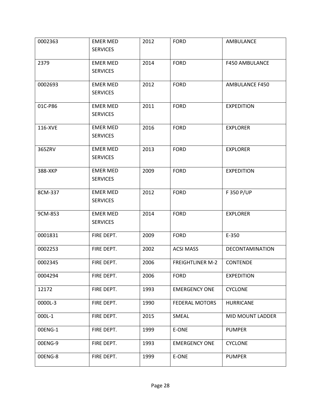| 0002363 | <b>EMER MED</b><br><b>SERVICES</b> | 2012 | <b>FORD</b>             | AMBULANCE             |
|---------|------------------------------------|------|-------------------------|-----------------------|
| 2379    | <b>EMER MED</b><br><b>SERVICES</b> | 2014 | <b>FORD</b>             | <b>F450 AMBULANCE</b> |
| 0002693 | <b>EMER MED</b><br><b>SERVICES</b> | 2012 | <b>FORD</b>             | AMBULANCE F450        |
| 01C-P86 | <b>EMER MED</b><br><b>SERVICES</b> | 2011 | <b>FORD</b>             | <b>EXPEDITION</b>     |
| 116-XVE | <b>EMER MED</b><br><b>SERVICES</b> | 2016 | <b>FORD</b>             | <b>EXPLORER</b>       |
| 365ZRV  | <b>EMER MED</b><br><b>SERVICES</b> | 2013 | <b>FORD</b>             | <b>EXPLORER</b>       |
| 388-XKP | <b>EMER MED</b><br><b>SERVICES</b> | 2009 | <b>FORD</b>             | <b>EXPEDITION</b>     |
| 8CM-337 | <b>EMER MED</b><br><b>SERVICES</b> | 2012 | <b>FORD</b>             | F 350 P/UP            |
| 9CM-853 | <b>EMER MED</b><br><b>SERVICES</b> | 2014 | <b>FORD</b>             | <b>EXPLORER</b>       |
| 0001831 | FIRE DEPT.                         | 2009 | <b>FORD</b>             | E-350                 |
| 0002253 | FIRE DEPT.                         | 2002 | <b>ACSI MASS</b>        | DECONTAMINATION       |
| 0002345 | FIRE DEPT.                         | 2006 | <b>FREIGHTLINER M-2</b> | <b>CONTENDE</b>       |
| 0004294 | FIRE DEPT.                         | 2006 | <b>FORD</b>             | <b>EXPEDITION</b>     |
| 12172   | FIRE DEPT.                         | 1993 | <b>EMERGENCY ONE</b>    | <b>CYCLONE</b>        |
| 0000L-3 | FIRE DEPT.                         | 1990 | <b>FEDERAL MOTORS</b>   | <b>HURRICANE</b>      |
| 000L-1  | FIRE DEPT.                         | 2015 | SMEAL                   | MID MOUNT LADDER      |
| 00ENG-1 | FIRE DEPT.                         | 1999 | E-ONE                   | <b>PUMPER</b>         |
| 00ENG-9 | FIRE DEPT.                         | 1993 | <b>EMERGENCY ONE</b>    | <b>CYCLONE</b>        |
| 00ENG-8 | FIRE DEPT.                         | 1999 | E-ONE                   | <b>PUMPER</b>         |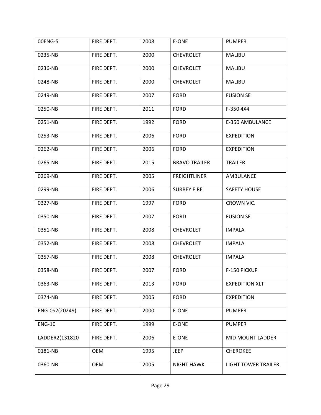| 00ENG-5        | FIRE DEPT. | 2008 | E-ONE                | <b>PUMPER</b>              |
|----------------|------------|------|----------------------|----------------------------|
| 0235-NB        | FIRE DEPT. | 2000 | <b>CHEVROLET</b>     | <b>MALIBU</b>              |
| 0236-NB        | FIRE DEPT. | 2000 | <b>CHEVROLET</b>     | <b>MALIBU</b>              |
| 0248-NB        | FIRE DEPT. | 2000 | <b>CHEVROLET</b>     | <b>MALIBU</b>              |
| 0249-NB        | FIRE DEPT. | 2007 | <b>FORD</b>          | <b>FUSION SE</b>           |
| 0250-NB        | FIRE DEPT. | 2011 | <b>FORD</b>          | F-350 4X4                  |
| 0251-NB        | FIRE DEPT. | 1992 | <b>FORD</b>          | E-350 AMBULANCE            |
| 0253-NB        | FIRE DEPT. | 2006 | <b>FORD</b>          | <b>EXPEDITION</b>          |
| 0262-NB        | FIRE DEPT. | 2006 | <b>FORD</b>          | <b>EXPEDITION</b>          |
| 0265-NB        | FIRE DEPT. | 2015 | <b>BRAVO TRAILER</b> | <b>TRAILER</b>             |
| 0269-NB        | FIRE DEPT. | 2005 | <b>FREIGHTLINER</b>  | AMBULANCE                  |
| 0299-NB        | FIRE DEPT. | 2006 | <b>SURREY FIRE</b>   | <b>SAFETY HOUSE</b>        |
| 0327-NB        | FIRE DEPT. | 1997 | <b>FORD</b>          | CROWN VIC.                 |
| 0350-NB        | FIRE DEPT. | 2007 | <b>FORD</b>          | <b>FUSION SE</b>           |
| 0351-NB        | FIRE DEPT. | 2008 | <b>CHEVROLET</b>     | <b>IMPALA</b>              |
| 0352-NB        | FIRE DEPT. | 2008 | <b>CHEVROLET</b>     | <b>IMPALA</b>              |
| 0357-NB        | FIRE DEPT. | 2008 | <b>CHEVROLET</b>     | <b>IMPALA</b>              |
| 0358-NB        | FIRE DEPT. | 2007 | <b>FORD</b>          | F-150 PICKUP               |
| 0363-NB        | FIRE DEPT. | 2013 | <b>FORD</b>          | <b>EXPEDITION XLT</b>      |
| 0374-NB        | FIRE DEPT. | 2005 | <b>FORD</b>          | <b>EXPEDITION</b>          |
| ENG-0S2(20249) | FIRE DEPT. | 2000 | E-ONE                | <b>PUMPER</b>              |
| <b>ENG-10</b>  | FIRE DEPT. | 1999 | E-ONE                | <b>PUMPER</b>              |
| LADDER2(131820 | FIRE DEPT. | 2006 | E-ONE                | MID MOUNT LADDER           |
| 0181-NB        | <b>OEM</b> | 1995 | <b>JEEP</b>          | <b>CHEROKEE</b>            |
| 0360-NB        | <b>OEM</b> | 2005 | <b>NIGHT HAWK</b>    | <b>LIGHT TOWER TRAILER</b> |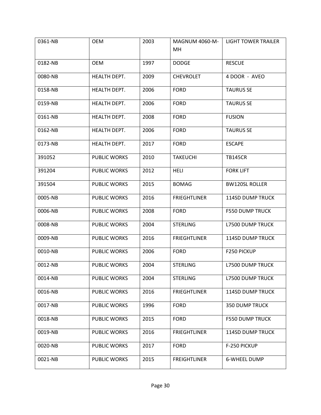| 0361-NB | <b>OEM</b>          | 2003 | <b>MAGNUM 4060-M-</b><br><b>MH</b> | <b>LIGHT TOWER TRAILER</b> |
|---------|---------------------|------|------------------------------------|----------------------------|
| 0182-NB | <b>OEM</b>          | 1997 | <b>DODGE</b>                       | <b>RESCUE</b>              |
| 0080-NB | HEALTH DEPT.        | 2009 | <b>CHEVROLET</b>                   | 4 DOOR - AVEO              |
| 0158-NB | HEALTH DEPT.        | 2006 | <b>FORD</b>                        | <b>TAURUS SE</b>           |
| 0159-NB | HEALTH DEPT.        | 2006 | <b>FORD</b>                        | <b>TAURUS SE</b>           |
| 0161-NB | HEALTH DEPT.        | 2008 | <b>FORD</b>                        | <b>FUSION</b>              |
| 0162-NB | HEALTH DEPT.        | 2006 | <b>FORD</b>                        | <b>TAURUS SE</b>           |
| 0173-NB | HEALTH DEPT.        | 2017 | <b>FORD</b>                        | <b>ESCAPE</b>              |
| 391052  | <b>PUBLIC WORKS</b> | 2010 | <b>TAKEUCHI</b>                    | <b>TB145CR</b>             |
| 391204  | <b>PUBLIC WORKS</b> | 2012 | <b>HELI</b>                        | <b>FORK LIFT</b>           |
| 391504  | <b>PUBLIC WORKS</b> | 2015 | <b>BOMAG</b>                       | <b>BW120SL ROLLER</b>      |
| 0005-NB | <b>PUBLIC WORKS</b> | 2016 | <b>FRIEGHTLINER</b>                | <b>114SD DUMP TRUCK</b>    |
| 0006-NB | PUBLIC WORKS        | 2008 | <b>FORD</b>                        | <b>F550 DUMP TRUCK</b>     |
| 0008-NB | <b>PUBLIC WORKS</b> | 2004 | <b>STERLING</b>                    | <b>L7500 DUMP TRUCK</b>    |
| 0009-NB | <b>PUBLIC WORKS</b> | 2016 | <b>FRIEGHTLINER</b>                | <b>114SD DUMP TRUCK</b>    |
| 0010-NB | <b>PUBLIC WORKS</b> | 2006 | <b>FORD</b>                        | F250 PICKUP                |
| 0012-NB | <b>PUBLIC WORKS</b> | 2004 | <b>STERLING</b>                    | <b>L7500 DUMP TRUCK</b>    |
| 0014-NB | <b>PUBLIC WORKS</b> | 2004 | <b>STERLING</b>                    | <b>L7500 DUMP TRUCK</b>    |
| 0016-NB | <b>PUBLIC WORKS</b> | 2016 | <b>FRIEGHTLINER</b>                | <b>114SD DUMP TRUCK</b>    |
| 0017-NB | PUBLIC WORKS        | 1996 | <b>FORD</b>                        | <b>350 DUMP TRUCK</b>      |
| 0018-NB | PUBLIC WORKS        | 2015 | <b>FORD</b>                        | <b>F550 DUMP TRUCK</b>     |
| 0019-NB | <b>PUBLIC WORKS</b> | 2016 | <b>FRIEGHTLINER</b>                | <b>114SD DUMP TRUCK</b>    |
| 0020-NB | <b>PUBLIC WORKS</b> | 2017 | <b>FORD</b>                        | F-250 PICKUP               |
| 0021-NB | <b>PUBLIC WORKS</b> | 2015 | <b>FREIGHTLINER</b>                | <b>6-WHEEL DUMP</b>        |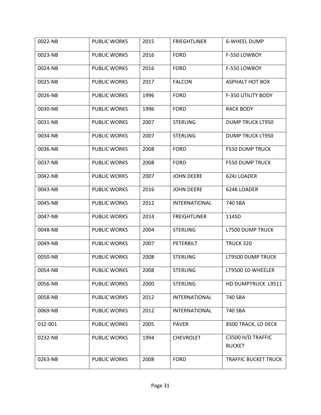| 0022-NB | PUBLIC WORKS        | 2015 | <b>FRIEGHTLINER</b>  | <b>6-WHEEL DUMP</b>                |
|---------|---------------------|------|----------------------|------------------------------------|
| 0023-NB | <b>PUBLIC WORKS</b> | 2016 | <b>FORD</b>          | F-550 LOWBOY                       |
| 0024-NB | <b>PUBLIC WORKS</b> | 2016 | <b>FORD</b>          | F-550 LOWBOY                       |
| 0025-NB | <b>PUBLIC WORKS</b> | 2017 | <b>FALCON</b>        | <b>ASPHALT HOT BOX</b>             |
| 0026-NB | <b>PUBLIC WORKS</b> | 1996 | <b>FORD</b>          | F-350 UTILITY BODY                 |
| 0030-NB | <b>PUBLIC WORKS</b> | 1996 | <b>FORD</b>          | <b>RACK BODY</b>                   |
| 0031-NB | <b>PUBLIC WORKS</b> | 2007 | <b>STERLING</b>      | <b>DUMP TRUCK LT950</b>            |
| 0034-NB | PUBLIC WORKS        | 2007 | <b>STERLING</b>      | <b>DUMP TRUCK LT950</b>            |
| 0036-NB | <b>PUBLIC WORKS</b> | 2008 | <b>FORD</b>          | <b>F550 DUMP TRUCK</b>             |
| 0037-NB | <b>PUBLIC WORKS</b> | 2008 | <b>FORD</b>          | <b>F550 DUMP TRUCK</b>             |
| 0042-NB | <b>PUBLIC WORKS</b> | 2007 | <b>JOHN DEERE</b>    | 624J LOADER                        |
| 0043-NB | PUBLIC WORKS        | 2016 | <b>JOHN DEERE</b>    | 624K LOADER                        |
| 0045-NB | <b>PUBLIC WORKS</b> | 2012 | INTERNATIONAL        | 740 SBA                            |
| 0047-NB | <b>PUBLIC WORKS</b> | 2014 | <b>FREIGHTLINER</b>  | 114SD                              |
| 0048-NB | PUBLIC WORKS        | 2004 | <b>STERLING</b>      | <b>L7500 DUMP TRUCK</b>            |
| 0049-NB | PUBLIC WORKS        | 2007 | PETERBILT            | <b>TRUCK 320</b>                   |
| 0050-NB | <b>PUBLIC WORKS</b> | 2008 | <b>STERLING</b>      | LT9500 DUMP TRUCK                  |
| 0054-NB | <b>PUBLIC WORKS</b> | 2008 | <b>STERLING</b>      | LT9500 10-WHEELER                  |
| 0056-NB | <b>PUBLIC WORKS</b> | 2000 | <b>STERLING</b>      | HD DUMPTRUCK L9511                 |
| 0058-NB | <b>PUBLIC WORKS</b> | 2012 | INTERNATIONAL        | 740 SBA                            |
| 0069-NB | <b>PUBLIC WORKS</b> | 2012 | <b>INTERNATIONAL</b> | 740 SBA                            |
| 012-001 | <b>PUBLIC WORKS</b> | 2005 | <b>PAVER</b>         | 8500 TRACK, LO DECK                |
| 0232-NB | <b>PUBLIC WORKS</b> | 1994 | <b>CHEVROLET</b>     | C3500 H/D TRAFFIC<br><b>BUCKET</b> |
|         |                     |      | <b>FORD</b>          |                                    |
| 0263-NB | PUBLIC WORKS        | 2008 |                      | <b>TRAFFIC BUCKET TRUCK</b>        |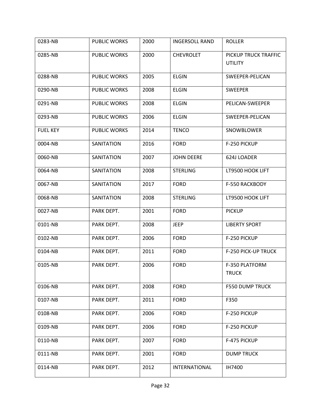| 0283-NB         | PUBLIC WORKS        | 2000 | <b>INGERSOLL RAND</b> | <b>ROLLER</b>                          |
|-----------------|---------------------|------|-----------------------|----------------------------------------|
| 0285-NB         | <b>PUBLIC WORKS</b> | 2000 | <b>CHEVROLET</b>      | PICKUP TRUCK TRAFFIC<br><b>UTILITY</b> |
| 0288-NB         | PUBLIC WORKS        | 2005 | <b>ELGIN</b>          | SWEEPER-PELICAN                        |
| 0290-NB         | PUBLIC WORKS        | 2008 | <b>ELGIN</b>          | <b>SWEEPER</b>                         |
| 0291-NB         | <b>PUBLIC WORKS</b> | 2008 | <b>ELGIN</b>          | PELICAN-SWEEPER                        |
| 0293-NB         | <b>PUBLIC WORKS</b> | 2006 | <b>ELGIN</b>          | SWEEPER-PELICAN                        |
| <b>FUEL KEY</b> | <b>PUBLIC WORKS</b> | 2014 | <b>TENCO</b>          | SNOWBLOWER                             |
| 0004-NB         | SANITATION          | 2016 | <b>FORD</b>           | F-250 PICKUP                           |
| 0060-NB         | SANITATION          | 2007 | <b>JOHN DEERE</b>     | 624J LOADER                            |
| 0064-NB         | SANITATION          | 2008 | <b>STERLING</b>       | LT9500 HOOK LIFT                       |
| 0067-NB         | SANITATION          | 2017 | <b>FORD</b>           | F-550 RACKBODY                         |
| 0068-NB         | SANITATION          | 2008 | <b>STERLING</b>       | LT9500 HOOK LIFT                       |
| 0027-NB         | PARK DEPT.          | 2001 | <b>FORD</b>           | <b>PICKUP</b>                          |
| 0101-NB         | PARK DEPT.          | 2008 | <b>JEEP</b>           | <b>LIBERTY SPORT</b>                   |
| 0102-NB         | PARK DEPT.          | 2006 | <b>FORD</b>           | F-250 PICKUP                           |
| 0104-NB         | PARK DEPT.          | 2011 | <b>FORD</b>           | <b>F-250 PICK-UP TRUCK</b>             |
| 0105-NB         | PARK DEPT.          | 2006 | <b>FORD</b>           | F-350 PLATFORM<br><b>TRUCK</b>         |
|                 |                     |      |                       |                                        |
| 0106-NB         | PARK DEPT.          | 2008 | <b>FORD</b>           | <b>F550 DUMP TRUCK</b>                 |
| 0107-NB         | PARK DEPT.          | 2011 | <b>FORD</b>           | F350                                   |
| 0108-NB         | PARK DEPT.          | 2006 | <b>FORD</b>           | F-250 PICKUP                           |
| 0109-NB         | PARK DEPT.          | 2006 | <b>FORD</b>           | F-250 PICKUP                           |
| 0110-NB         | PARK DEPT.          | 2007 | <b>FORD</b>           | F-475 PICKUP                           |
| 0111-NB         | PARK DEPT.          | 2001 | <b>FORD</b>           | <b>DUMP TRUCK</b>                      |
| 0114-NB         | PARK DEPT.          | 2012 | INTERNATIONAL         | IH7400                                 |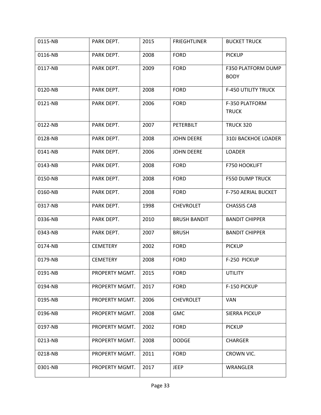| 0115-NB | PARK DEPT.      | 2015 | <b>FRIEGHTLINER</b> | <b>BUCKET TRUCK</b>               |
|---------|-----------------|------|---------------------|-----------------------------------|
| 0116-NB | PARK DEPT.      | 2008 | <b>FORD</b>         | <b>PICKUP</b>                     |
| 0117-NB | PARK DEPT.      | 2009 | <b>FORD</b>         | F350 PLATFORM DUMP<br><b>BODY</b> |
| 0120-NB | PARK DEPT.      | 2008 | <b>FORD</b>         | <b>F-450 UTILITY TRUCK</b>        |
| 0121-NB | PARK DEPT.      | 2006 | <b>FORD</b>         | F-350 PLATFORM<br><b>TRUCK</b>    |
| 0122-NB | PARK DEPT.      | 2007 | PETERBILT           | <b>TRUCK 320</b>                  |
| 0128-NB | PARK DEPT.      | 2008 | <b>JOHN DEERE</b>   | 310J BACKHOE LOADER               |
| 0141-NB | PARK DEPT.      | 2006 | <b>JOHN DEERE</b>   | <b>LOADER</b>                     |
| 0143-NB | PARK DEPT.      | 2008 | <b>FORD</b>         | F750 HOOKLIFT                     |
| 0150-NB | PARK DEPT.      | 2008 | <b>FORD</b>         | <b>F550 DUMP TRUCK</b>            |
| 0160-NB | PARK DEPT.      | 2008 | <b>FORD</b>         | F-750 AERIAL BUCKET               |
| 0317-NB | PARK DEPT.      | 1998 | <b>CHEVROLET</b>    | <b>CHASSIS CAB</b>                |
| 0336-NB | PARK DEPT.      | 2010 | <b>BRUSH BANDIT</b> | <b>BANDIT CHIPPER</b>             |
| 0343-NB | PARK DEPT.      | 2007 | <b>BRUSH</b>        | <b>BANDIT CHIPPER</b>             |
| 0174-NB | <b>CEMETERY</b> | 2002 | <b>FORD</b>         | <b>PICKUP</b>                     |
| 0179-NB | <b>CEMETERY</b> | 2008 | <b>FORD</b>         | F-250 PICKUP                      |
| 0191-NB | PROPERTY MGMT.  | 2015 | <b>FORD</b>         | UTILITY                           |
| 0194-NB | PROPERTY MGMT.  | 2017 | <b>FORD</b>         | F-150 PICKUP                      |
| 0195-NB | PROPERTY MGMT.  | 2006 | <b>CHEVROLET</b>    | <b>VAN</b>                        |
| 0196-NB | PROPERTY MGMT.  | 2008 | <b>GMC</b>          | <b>SIERRA PICKUP</b>              |
| 0197-NB | PROPERTY MGMT.  | 2002 | <b>FORD</b>         | <b>PICKUP</b>                     |
| 0213-NB | PROPERTY MGMT.  | 2008 | <b>DODGE</b>        | <b>CHARGER</b>                    |
| 0218-NB | PROPERTY MGMT.  | 2011 | <b>FORD</b>         | CROWN VIC.                        |
| 0301-NB | PROPERTY MGMT.  | 2017 | <b>JEEP</b>         | WRANGLER                          |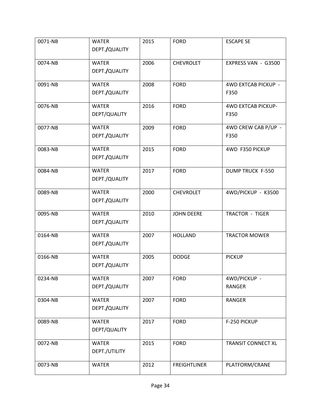| 0071-NB | <b>WATER</b><br>DEPT./QUALITY | 2015 | <b>FORD</b>         | <b>ESCAPE SE</b>                  |
|---------|-------------------------------|------|---------------------|-----------------------------------|
| 0074-NB | <b>WATER</b><br>DEPT./QUALITY | 2006 | <b>CHEVROLET</b>    | EXPRESS VAN - G3500               |
| 0091-NB | <b>WATER</b><br>DEPT./QUALITY | 2008 | <b>FORD</b>         | 4WD EXTCAB PICKUP -<br>F350       |
| 0076-NB | <b>WATER</b><br>DEPT/QUALITY  | 2016 | <b>FORD</b>         | <b>4WD EXTCAB PICKUP-</b><br>F350 |
| 0077-NB | <b>WATER</b><br>DEPT./QUALITY | 2009 | <b>FORD</b>         | 4WD CREW CAB P/UP -<br>F350       |
| 0083-NB | <b>WATER</b><br>DEPT./QUALITY | 2015 | <b>FORD</b>         | 4WD F350 PICKUP                   |
| 0084-NB | <b>WATER</b><br>DEPT./QUALITY | 2017 | <b>FORD</b>         | <b>DUMP TRUCK F-550</b>           |
| 0089-NB | <b>WATER</b><br>DEPT./QUALITY | 2000 | <b>CHEVROLET</b>    | 4WD/PICKUP - K3500                |
| 0095-NB | <b>WATER</b><br>DEPT./QUALITY | 2010 | <b>JOHN DEERE</b>   | TRACTOR - TIGER                   |
| 0164-NB | <b>WATER</b><br>DEPT./QUALITY | 2007 | <b>HOLLAND</b>      | <b>TRACTOR MOWER</b>              |
| 0166-NB | <b>WATER</b><br>DEPT./QUALITY | 2005 | <b>DODGE</b>        | <b>PICKUP</b>                     |
| 0234-NB | <b>WATER</b><br>DEPT./QUALITY | 2007 | <b>FORD</b>         | 4WD/PICKUP -<br><b>RANGER</b>     |
| 0304-NB | <b>WATER</b><br>DEPT./QUALITY | 2007 | <b>FORD</b>         | <b>RANGER</b>                     |
| 0089-NB | <b>WATER</b><br>DEPT/QUALITY  | 2017 | <b>FORD</b>         | F-250 PICKUP                      |
| 0072-NB | <b>WATER</b><br>DEPT./UTILITY | 2015 | <b>FORD</b>         | <b>TRANSIT CONNECT XL</b>         |
| 0073-NB | <b>WATER</b>                  | 2012 | <b>FREIGHTLINER</b> | PLATFORM/CRANE                    |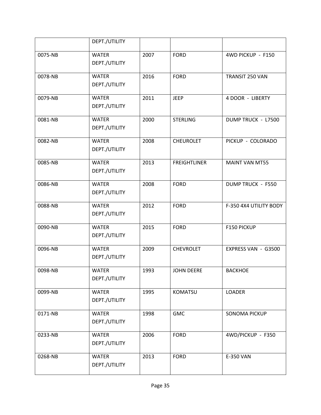|         | DEPT./UTILITY                 |      |                     |                          |
|---------|-------------------------------|------|---------------------|--------------------------|
| 0075-NB | <b>WATER</b><br>DEPT./UTILITY | 2007 | <b>FORD</b>         | 4WD PICKUP - F150        |
| 0078-NB | <b>WATER</b><br>DEPT./UTILITY | 2016 | <b>FORD</b>         | TRANSIT 250 VAN          |
| 0079-NB | <b>WATER</b><br>DEPT./UTILITY | 2011 | <b>JEEP</b>         | 4 DOOR - LIBERTY         |
| 0081-NB | <b>WATER</b><br>DEPT./UTILITY | 2000 | <b>STERLING</b>     | DUMP TRUCK - L7500       |
| 0082-NB | <b>WATER</b><br>DEPT./UTILITY | 2008 | <b>CHEUROLET</b>    | PICKUP - COLORADO        |
| 0085-NB | <b>WATER</b><br>DEPT./UTILITY | 2013 | <b>FREIGHTLINER</b> | <b>MAINT VAN MT55</b>    |
| 0086-NB | <b>WATER</b><br>DEPT./UTILITY | 2008 | <b>FORD</b>         | <b>DUMP TRUCK - F550</b> |
| 0088-NB | <b>WATER</b><br>DEPT./UTILITY | 2012 | <b>FORD</b>         | F-350 4X4 UTILITY BODY   |
| 0090-NB | <b>WATER</b><br>DEPT./UTILITY | 2015 | <b>FORD</b>         | F150 PICKUP              |
| 0096-NB | <b>WATER</b><br>DEPT./UTILITY | 2009 | <b>CHEVROLET</b>    | EXPRESS VAN - G3500      |
| 0098-NB | <b>WATER</b><br>DEPT./UTILITY | 1993 | <b>JOHN DEERE</b>   | <b>BACKHOE</b>           |
| 0099-NB | <b>WATER</b><br>DEPT./UTILITY | 1995 | <b>KOMATSU</b>      | <b>LOADER</b>            |
| 0171-NB | <b>WATER</b><br>DEPT./UTILITY | 1998 | <b>GMC</b>          | <b>SONOMA PICKUP</b>     |
| 0233-NB | <b>WATER</b><br>DEPT./UTILITY | 2006 | <b>FORD</b>         | 4WD/PICKUP - F350        |
| 0268-NB | <b>WATER</b><br>DEPT./UTILITY | 2013 | <b>FORD</b>         | E-350 VAN                |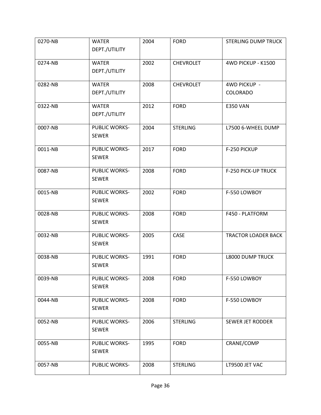| 0270-NB | <b>WATER</b>                  | 2004 | <b>FORD</b>      | <b>STERLING DUMP TRUCK</b> |
|---------|-------------------------------|------|------------------|----------------------------|
|         | DEPT./UTILITY                 |      |                  |                            |
| 0274-NB | <b>WATER</b><br>DEPT./UTILITY | 2002 | <b>CHEVROLET</b> | 4WD PICKUP - K1500         |
|         |                               |      |                  |                            |
| 0282-NB | <b>WATER</b>                  | 2008 | <b>CHEVROLET</b> | 4WD PICKUP -               |
|         | DEPT./UTILITY                 |      |                  | <b>COLORADO</b>            |
| 0322-NB | <b>WATER</b>                  | 2012 | <b>FORD</b>      | <b>E350 VAN</b>            |
|         | DEPT./UTILITY                 |      |                  |                            |
| 0007-NB | PUBLIC WORKS-                 | 2004 | <b>STERLING</b>  | L7500 6-WHEEL DUMP         |
|         | <b>SEWER</b>                  |      |                  |                            |
| 0011-NB | <b>PUBLIC WORKS-</b>          | 2017 | <b>FORD</b>      | F-250 PICKUP               |
|         | <b>SEWER</b>                  |      |                  |                            |
| 0087-NB | <b>PUBLIC WORKS-</b>          | 2008 | <b>FORD</b>      | F-250 PICK-UP TRUCK        |
|         | <b>SEWER</b>                  |      |                  |                            |
| 0015-NB | <b>PUBLIC WORKS-</b>          | 2002 | <b>FORD</b>      | F-550 LOWBOY               |
|         | <b>SEWER</b>                  |      |                  |                            |
| 0028-NB | <b>PUBLIC WORKS-</b>          | 2008 | <b>FORD</b>      | F450 - PLATFORM            |
|         | <b>SEWER</b>                  |      |                  |                            |
| 0032-NB | <b>PUBLIC WORKS-</b>          | 2005 | CASE             | <b>TRACTOR LOADER BACK</b> |
|         | <b>SEWER</b>                  |      |                  |                            |
| 0038-NB | <b>PUBLIC WORKS-</b>          | 1991 | <b>FORD</b>      | <b>L8000 DUMP TRUCK</b>    |
|         | <b>SEWER</b>                  |      |                  |                            |
| 0039-NB | <b>PUBLIC WORKS-</b>          | 2008 | <b>FORD</b>      | F-550 LOWBOY               |
|         | <b>SEWER</b>                  |      |                  |                            |
| 0044-NB | <b>PUBLIC WORKS-</b>          | 2008 | <b>FORD</b>      | F-550 LOWBOY               |
|         | <b>SEWER</b>                  |      |                  |                            |
| 0052-NB | PUBLIC WORKS-                 | 2006 | <b>STERLING</b>  | SEWER JET RODDER           |
|         | <b>SEWER</b>                  |      |                  |                            |
| 0055-NB | <b>PUBLIC WORKS-</b>          | 1995 | <b>FORD</b>      | CRANE/COMP                 |
|         | <b>SEWER</b>                  |      |                  |                            |
| 0057-NB | <b>PUBLIC WORKS-</b>          | 2008 | <b>STERLING</b>  | LT9500 JET VAC             |
|         |                               |      |                  |                            |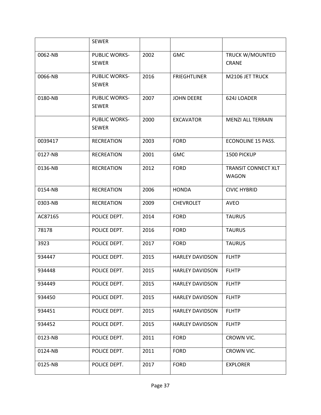|         | <b>SEWER</b>                         |      |                        |                                            |
|---------|--------------------------------------|------|------------------------|--------------------------------------------|
| 0062-NB | <b>PUBLIC WORKS-</b><br><b>SEWER</b> | 2002 | <b>GMC</b>             | TRUCK W/MOUNTED<br><b>CRANE</b>            |
| 0066-NB | <b>PUBLIC WORKS-</b><br><b>SEWER</b> | 2016 | <b>FRIEGHTLINER</b>    | M2106 JET TRUCK                            |
| 0180-NB | <b>PUBLIC WORKS-</b><br><b>SEWER</b> | 2007 | <b>JOHN DEERE</b>      | 624J LOADER                                |
|         | <b>PUBLIC WORKS-</b><br><b>SEWER</b> | 2000 | <b>EXCAVATOR</b>       | <b>MENZI ALL TERRAIN</b>                   |
| 0039417 | <b>RECREATION</b>                    | 2003 | <b>FORD</b>            | ECONOLINE 15 PASS.                         |
| 0127-NB | <b>RECREATION</b>                    | 2001 | <b>GMC</b>             | 1500 PICKUP                                |
| 0136-NB | <b>RECREATION</b>                    | 2012 | <b>FORD</b>            | <b>TRANSIT CONNECT XLT</b><br><b>WAGON</b> |
| 0154-NB | <b>RECREATION</b>                    | 2006 | <b>HONDA</b>           | <b>CIVIC HYBRID</b>                        |
| 0303-NB | <b>RECREATION</b>                    | 2009 | <b>CHEVROLET</b>       | <b>AVEO</b>                                |
| AC87165 | POLICE DEPT.                         | 2014 | <b>FORD</b>            | <b>TAURUS</b>                              |
| 78178   | POLICE DEPT.                         | 2016 | <b>FORD</b>            | <b>TAURUS</b>                              |
| 3923    | POLICE DEPT.                         | 2017 | <b>FORD</b>            | <b>TAURUS</b>                              |
| 934447  | POLICE DEPT.                         | 2015 | <b>HARLEY DAVIDSON</b> | <b>FLHTP</b>                               |
| 934448  | POLICE DEPT.                         | 2015 | <b>HARLEY DAVIDSON</b> | <b>FLHTP</b>                               |
| 934449  | POLICE DEPT.                         | 2015 | <b>HARLEY DAVIDSON</b> | <b>FLHTP</b>                               |
| 934450  | POLICE DEPT.                         | 2015 | <b>HARLEY DAVIDSON</b> | <b>FLHTP</b>                               |
| 934451  | POLICE DEPT.                         | 2015 | <b>HARLEY DAVIDSON</b> | <b>FLHTP</b>                               |
| 934452  | POLICE DEPT.                         | 2015 | <b>HARLEY DAVIDSON</b> | <b>FLHTP</b>                               |
| 0123-NB | POLICE DEPT.                         | 2011 | <b>FORD</b>            | CROWN VIC.                                 |
| 0124-NB | POLICE DEPT.                         | 2011 | <b>FORD</b>            | CROWN VIC.                                 |
| 0125-NB | POLICE DEPT.                         | 2017 | <b>FORD</b>            | <b>EXPLORER</b>                            |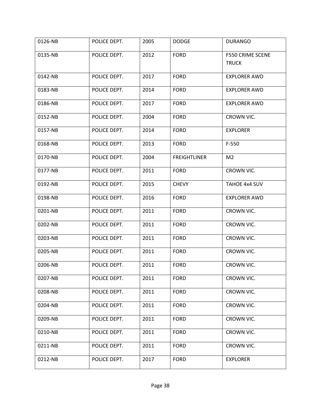| 0126-NB | POLICE DEPT. | 2005 | <b>DODGE</b>        | <b>DURANGO</b>                          |
|---------|--------------|------|---------------------|-----------------------------------------|
| 0135-NB | POLICE DEPT. | 2012 | <b>FORD</b>         | <b>F550 CRIME SCENE</b><br><b>TRUCK</b> |
| 0142-NB | POLICE DEPT. | 2017 | <b>FORD</b>         | <b>EXPLORER AWD</b>                     |
| 0183-NB | POLICE DEPT. | 2014 | <b>FORD</b>         | <b>EXPLORER AWD</b>                     |
| 0186-NB | POLICE DEPT. | 2017 | <b>FORD</b>         | <b>EXPLORER AWD</b>                     |
| 0152-NB | POLICE DEPT. | 2004 | <b>FORD</b>         | CROWN VIC.                              |
| 0157-NB | POLICE DEPT. | 2014 | <b>FORD</b>         | <b>EXPLORER</b>                         |
| 0168-NB | POLICE DEPT. | 2013 | <b>FORD</b>         | $F-550$                                 |
| 0170-NB | POLICE DEPT. | 2004 | <b>FREIGHTLINER</b> | M <sub>2</sub>                          |
| 0177-NB | POLICE DEPT. | 2011 | <b>FORD</b>         | CROWN VIC.                              |
| 0192-NB | POLICE DEPT. | 2015 | <b>CHEVY</b>        | TAHOE 4x4 SUV                           |
| 0198-NB | POLICE DEPT. | 2016 | <b>FORD</b>         | <b>EXPLORER AWD</b>                     |
| 0201-NB | POLICE DEPT. | 2011 | <b>FORD</b>         | CROWN VIC.                              |
| 0202-NB | POLICE DEPT. | 2011 | <b>FORD</b>         | CROWN VIC.                              |
| 0203-NB | POLICE DEPT. | 2011 | <b>FORD</b>         | CROWN VIC.                              |
| 0205-NB | POLICE DEPT. | 2011 | <b>FORD</b>         | CROWN VIC.                              |
| 0206-NB | POLICE DEPT. | 2011 | <b>FORD</b>         | CROWN VIC.                              |
| 0207-NB | POLICE DEPT. | 2011 | <b>FORD</b>         | CROWN VIC.                              |
| 0208-NB | POLICE DEPT. | 2011 | <b>FORD</b>         | CROWN VIC.                              |
| 0204-NB | POLICE DEPT. | 2011 | <b>FORD</b>         | CROWN VIC.                              |
| 0209-NB | POLICE DEPT. | 2011 | <b>FORD</b>         | CROWN VIC.                              |
| 0210-NB | POLICE DEPT. | 2011 | <b>FORD</b>         | CROWN VIC.                              |
| 0211-NB | POLICE DEPT. | 2011 | <b>FORD</b>         | CROWN VIC.                              |
| 0212-NB | POLICE DEPT. | 2017 | <b>FORD</b>         | <b>EXPLORER</b>                         |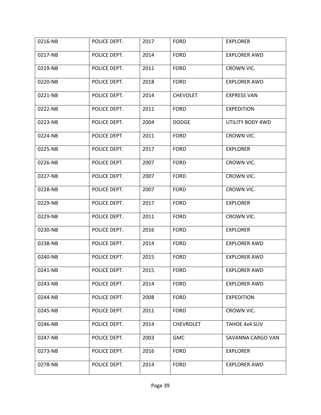| 0216-NB | POLICE DEPT. | 2017 | <b>FORD</b>      | <b>EXPLORER</b>     |
|---------|--------------|------|------------------|---------------------|
| 0217-NB | POLICE DEPT. | 2014 | <b>FORD</b>      | <b>EXPLORER AWD</b> |
| 0219-NB | POLICE DEPT. | 2011 | <b>FORD</b>      | CROWN VIC.          |
| 0220-NB | POLICE DEPT. | 2018 | <b>FORD</b>      | <b>EXPLORER AWD</b> |
| 0221-NB | POLICE DEPT. | 2014 | <b>CHEVOLET</b>  | <b>EXPRESS VAN</b>  |
| 0222-NB | POLICE DEPT. | 2011 | <b>FORD</b>      | <b>EXPEDITION</b>   |
| 0223-NB | POLICE DEPT. | 2004 | <b>DODGE</b>     | UTILITY BODY 4WD    |
| 0224-NB | POLICE DEPT. | 2011 | <b>FORD</b>      | CROWN VIC.          |
| 0225-NB | POLICE DEPT. | 2017 | <b>FORD</b>      | <b>EXPLORER</b>     |
| 0226-NB | POLICE DEPT. | 2007 | <b>FORD</b>      | CROWN VIC.          |
| 0227-NB | POLICE DEPT. | 2007 | <b>FORD</b>      | CROWN VIC.          |
| 0228-NB | POLICE DEPT. | 2007 | <b>FORD</b>      | CROWN VIC.          |
| 0229-NB | POLICE DEPT. | 2017 | <b>FORD</b>      | <b>EXPLORER</b>     |
| 0229-NB | POLICE DEPT. | 2011 | <b>FORD</b>      | CROWN VIC.          |
| 0230-NB | POLICE DEPT. | 2016 | <b>FORD</b>      | <b>EXPLORER</b>     |
| 0238-NB | POLICE DEPT. | 2014 | <b>FORD</b>      | <b>EXPLORER AWD</b> |
| 0240-NB | POLICE DEPT. | 2015 | <b>FORD</b>      | <b>EXPLORER AWD</b> |
| 0241-NB | POLICE DEPT. | 2015 | <b>FORD</b>      | <b>EXPLORER AWD</b> |
| 0243-NB | POLICE DEPT. | 2014 | <b>FORD</b>      | <b>EXPLORER AWD</b> |
| 0244-NB | POLICE DEPT. | 2008 | <b>FORD</b>      | <b>EXPEDITION</b>   |
| 0245-NB | POLICE DEPT. | 2011 | <b>FORD</b>      | CROWN VIC.          |
| 0246-NB | POLICE DEPT. | 2014 | <b>CHEVROLET</b> | TAHOE 4x4 SUV       |
| 0247-NB | POLICE DEPT. | 2003 | <b>GMC</b>       | SAVANNA CARGO VAN   |
| 0273-NB | POLICE DEPT. | 2016 | <b>FORD</b>      | <b>EXPLORER</b>     |
| 0278-NB | POLICE DEPT. | 2014 | <b>FORD</b>      | <b>EXPLORER AWD</b> |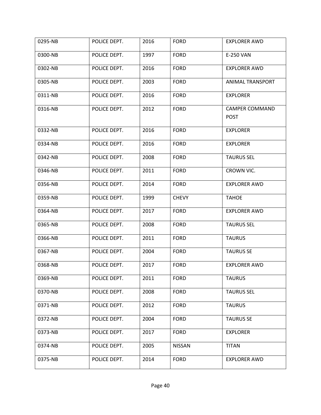| 0295-NB | POLICE DEPT. | 2016 | <b>FORD</b>   | <b>EXPLORER AWD</b>                  |
|---------|--------------|------|---------------|--------------------------------------|
| 0300-NB | POLICE DEPT. | 1997 | <b>FORD</b>   | E-250 VAN                            |
| 0302-NB | POLICE DEPT. | 2016 | <b>FORD</b>   | <b>EXPLORER AWD</b>                  |
| 0305-NB | POLICE DEPT. | 2003 | <b>FORD</b>   | ANIMAL TRANSPORT                     |
| 0311-NB | POLICE DEPT. | 2016 | <b>FORD</b>   | <b>EXPLORER</b>                      |
| 0316-NB | POLICE DEPT. | 2012 | <b>FORD</b>   | <b>CAMPER COMMAND</b><br><b>POST</b> |
| 0332-NB | POLICE DEPT. | 2016 | <b>FORD</b>   | <b>EXPLORER</b>                      |
| 0334-NB | POLICE DEPT. | 2016 | <b>FORD</b>   | <b>EXPLORER</b>                      |
| 0342-NB | POLICE DEPT. | 2008 | <b>FORD</b>   | <b>TAURUS SEL</b>                    |
| 0346-NB | POLICE DEPT. | 2011 | <b>FORD</b>   | CROWN VIC.                           |
| 0356-NB | POLICE DEPT. | 2014 | <b>FORD</b>   | <b>EXPLORER AWD</b>                  |
| 0359-NB | POLICE DEPT. | 1999 | <b>CHEVY</b>  | <b>TAHOE</b>                         |
| 0364-NB | POLICE DEPT. | 2017 | <b>FORD</b>   | <b>EXPLORER AWD</b>                  |
| 0365-NB | POLICE DEPT. | 2008 | <b>FORD</b>   | <b>TAURUS SEL</b>                    |
| 0366-NB | POLICE DEPT. | 2011 | <b>FORD</b>   | <b>TAURUS</b>                        |
| 0367-NB | POLICE DEPT. | 2004 | <b>FORD</b>   | <b>TAURUS SE</b>                     |
| 0368-NB | POLICE DEPT. | 2017 | <b>FORD</b>   | <b>EXPLORER AWD</b>                  |
| 0369-NB | POLICE DEPT. | 2011 | <b>FORD</b>   | <b>TAURUS</b>                        |
| 0370-NB | POLICE DEPT. | 2008 | <b>FORD</b>   | <b>TAURUS SEL</b>                    |
| 0371-NB | POLICE DEPT. | 2012 | <b>FORD</b>   | <b>TAURUS</b>                        |
| 0372-NB | POLICE DEPT. | 2004 | <b>FORD</b>   | <b>TAURUS SE</b>                     |
| 0373-NB | POLICE DEPT. | 2017 | <b>FORD</b>   | <b>EXPLORER</b>                      |
| 0374-NB | POLICE DEPT. | 2005 | <b>NISSAN</b> | <b>TITAN</b>                         |
| 0375-NB | POLICE DEPT. | 2014 | <b>FORD</b>   | EXPLORER AWD                         |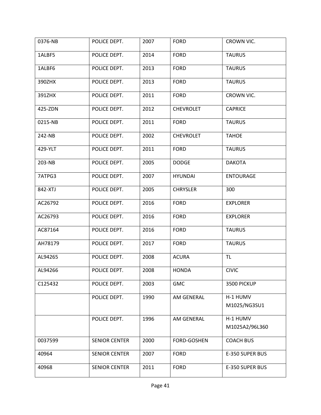| 0376-NB | POLICE DEPT.         | 2007 | <b>FORD</b>      | CROWN VIC.                 |
|---------|----------------------|------|------------------|----------------------------|
| 1ALBF5  | POLICE DEPT.         | 2014 | <b>FORD</b>      | <b>TAURUS</b>              |
| 1ALBF6  | POLICE DEPT.         | 2013 | <b>FORD</b>      | <b>TAURUS</b>              |
| 390ZHX  | POLICE DEPT.         | 2013 | <b>FORD</b>      | <b>TAURUS</b>              |
| 391ZHX  | POLICE DEPT.         | 2011 | <b>FORD</b>      | CROWN VIC.                 |
| 425-ZDN | POLICE DEPT.         | 2012 | <b>CHEVROLET</b> | <b>CAPRICE</b>             |
| 0215-NB | POLICE DEPT.         | 2011 | <b>FORD</b>      | <b>TAURUS</b>              |
| 242-NB  | POLICE DEPT.         | 2002 | <b>CHEVROLET</b> | <b>TAHOE</b>               |
| 429-YLT | POLICE DEPT.         | 2011 | <b>FORD</b>      | <b>TAURUS</b>              |
| 203-NB  | POLICE DEPT.         | 2005 | <b>DODGE</b>     | <b>DAKOTA</b>              |
| 7ATPG3  | POLICE DEPT.         | 2007 | <b>HYUNDAI</b>   | <b>ENTOURAGE</b>           |
| 842-XTJ | POLICE DEPT.         | 2005 | <b>CHRYSLER</b>  | 300                        |
| AC26792 | POLICE DEPT.         | 2016 | <b>FORD</b>      | <b>EXPLORER</b>            |
| AC26793 | POLICE DEPT.         | 2016 | <b>FORD</b>      | <b>EXPLORER</b>            |
| AC87164 | POLICE DEPT.         | 2016 | <b>FORD</b>      | <b>TAURUS</b>              |
| AH78179 | POLICE DEPT.         | 2017 | <b>FORD</b>      | <b>TAURUS</b>              |
| AL94265 | POLICE DEPT.         | 2008 | <b>ACURA</b>     | TL.                        |
| AL94266 | POLICE DEPT.         | 2008 | <b>HONDA</b>     | <b>CIVIC</b>               |
| C125432 | POLICE DEPT.         | 2003 | <b>GMC</b>       | 3500 PICKUP                |
|         | POLICE DEPT.         | 1990 | AM GENERAL       | H-1 HUMV<br>M1025/NG3SU1   |
|         |                      |      |                  |                            |
|         | POLICE DEPT.         | 1996 | AM GENERAL       | H-1 HUMV<br>M1025A2/96L360 |
|         |                      |      |                  |                            |
| 0037599 | <b>SENIOR CENTER</b> | 2000 | FORD-GOSHEN      | <b>COACH BUS</b>           |
| 40964   | <b>SENIOR CENTER</b> | 2007 | <b>FORD</b>      | E-350 SUPER BUS            |
| 40968   | <b>SENIOR CENTER</b> | 2011 | <b>FORD</b>      | E-350 SUPER BUS            |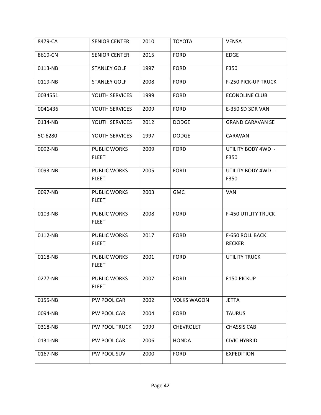| 8479-CA | <b>SENIOR CENTER</b>                | 2010 | <b>TOYOTA</b>      | <b>VENSA</b>               |
|---------|-------------------------------------|------|--------------------|----------------------------|
| 8619-CN | <b>SENIOR CENTER</b>                | 2015 | <b>FORD</b>        | <b>EDGE</b>                |
| 0113-NB | <b>STANLEY GOLF</b>                 | 1997 | <b>FORD</b>        | F350                       |
| 0119-NB | <b>STANLEY GOLF</b>                 | 2008 | <b>FORD</b>        | <b>F-250 PICK-UP TRUCK</b> |
| 0034551 | YOUTH SERVICES                      | 1999 | <b>FORD</b>        | <b>ECONOLINE CLUB</b>      |
| 0041436 | YOUTH SERVICES                      | 2009 | <b>FORD</b>        | E-350 SD 3DR VAN           |
| 0134-NB | YOUTH SERVICES                      | 2012 | <b>DODGE</b>       | <b>GRAND CARAVAN SE</b>    |
| 5C-6280 | YOUTH SERVICES                      | 1997 | <b>DODGE</b>       | CARAVAN                    |
| 0092-NB | PUBLIC WORKS                        | 2009 | <b>FORD</b>        | UTILITY BODY 4WD -         |
|         | <b>FLEET</b>                        |      |                    | F350                       |
| 0093-NB | <b>PUBLIC WORKS</b>                 | 2005 | <b>FORD</b>        | UTILITY BODY 4WD -         |
|         | <b>FLEET</b>                        |      |                    | F350                       |
| 0097-NB | PUBLIC WORKS<br><b>FLEET</b>        | 2003 | <b>GMC</b>         | <b>VAN</b>                 |
|         |                                     |      |                    |                            |
| 0103-NB | PUBLIC WORKS<br><b>FLEET</b>        | 2008 | <b>FORD</b>        | <b>F-450 UTILITY TRUCK</b> |
| 0112-NB | <b>PUBLIC WORKS</b>                 | 2017 | <b>FORD</b>        | F-650 ROLL BACK            |
|         | <b>FLEET</b>                        |      |                    | <b>RECKER</b>              |
| 0118-NB | <b>PUBLIC WORKS</b><br><b>FLEET</b> | 2001 | <b>FORD</b>        | <b>UTILITY TRUCK</b>       |
| 0277-NB | PUBLIC WORKS                        | 2007 | <b>FORD</b>        | F150 PICKUP                |
|         | <b>FLEET</b>                        |      |                    |                            |
| 0155-NB | PW POOL CAR                         | 2002 | <b>VOLKS WAGON</b> | <b>JETTA</b>               |
| 0094-NB | PW POOL CAR                         | 2004 | <b>FORD</b>        | <b>TAURUS</b>              |
| 0318-NB | PW POOL TRUCK                       | 1999 | <b>CHEVROLET</b>   | <b>CHASSIS CAB</b>         |
| 0131-NB | PW POOL CAR                         | 2006 | <b>HONDA</b>       | <b>CIVIC HYBRID</b>        |
| 0167-NB | PW POOL SUV                         | 2000 | <b>FORD</b>        | <b>EXPEDITION</b>          |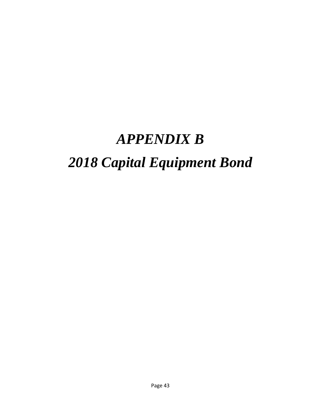## *APPENDIX B*

## *2018 Capital Equipment Bond*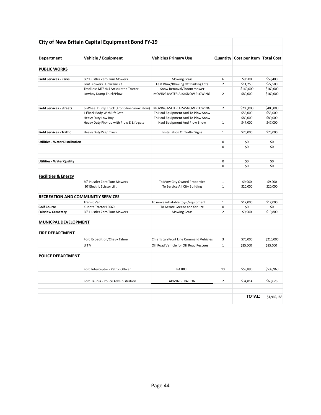| <b>Department</b>                         | Vehicle / Equipment                       | <b>Vehicles Primary Use</b>             |                | <b>Quantity Cost per Item Total Cost</b> |           |
|-------------------------------------------|-------------------------------------------|-----------------------------------------|----------------|------------------------------------------|-----------|
|                                           |                                           |                                         |                |                                          |           |
| <b>PUBLIC WORKS</b>                       |                                           |                                         |                |                                          |           |
| <b>Field Services - Parks</b>             | 60" Hustler Zero Turn Mowers              | Mowing Grass                            | 6              | \$9,900                                  | \$59,400  |
|                                           | Leaf Blowers Hurricane Z3                 | Leaf Blow/Blowing Off Parking Lots      | $\overline{2}$ | \$11,250                                 | \$22,500  |
|                                           | Trackless MT6 4x4 Articulated Tractor     | Snow Removal/boom mower                 | $\mathbf{1}$   | \$160,000                                | \$160,000 |
|                                           | Lowboy Dump Truck/Plow                    | MOVING MATERIALS/SNOW PLOWING           | $\overline{2}$ | \$80,000                                 | \$160,000 |
| <b>Field Services - Streets</b>           | 6-Wheel Dump Truck (Front-line Snow Plow) | MOVING MATERIALS/SNOW PLOWING           | $\overline{2}$ | \$200,000                                | \$400,000 |
|                                           | 11'Rack Body With lift Gate               | To Haul Equipment And To Plow Snow      | $\mathbf{1}$   | \$55,000                                 | \$55.000  |
|                                           | Heavy Duty Low Boy                        | To Haul Equipment And To Plow Snow      | $1\,$          | \$80,000                                 | \$80,000  |
|                                           | Heavy Duty Pick-up with Plow & Lift-gate  | Haul Equipment And Plow Snow            | $\mathbf{1}$   | \$47,000                                 | \$47,000  |
| <b>Field Services - Traffic</b>           | Heavy Duty/Sign Truck                     | Installation Of Traffic Signs           | $\mathbf{1}$   | \$75,000                                 | \$75,000  |
| <b>Utilities - Water Distribution</b>     |                                           |                                         | $\mathbf 0$    | \$0                                      | \$0       |
|                                           |                                           |                                         | $\Omega$       | \$0                                      | \$0       |
|                                           |                                           |                                         |                |                                          |           |
| <b>Utilities - Water Quality</b>          |                                           |                                         | $\mathbf 0$    | \$0                                      | \$0       |
|                                           |                                           |                                         | $\Omega$       | \$0                                      | \$0       |
| <b>Facilities &amp; Energy</b>            |                                           |                                         |                |                                          |           |
|                                           | 60" Hustler Zero Turn Mowers              | To Mow City Owned Properties            | $\mathbf{1}$   | \$9,900                                  | \$9,900   |
|                                           | 30' Electric Scissor Lift                 | To Service All City Building            | $\mathbf{1}$   | \$20,000                                 | \$20,000  |
| <b>RECREATION AND COMMUNITIY SERVICES</b> |                                           |                                         |                |                                          |           |
|                                           | <b>Transit Van</b>                        | To move inflatable toys / equipment     | $\mathbf{1}$   | \$17,000                                 | \$17,000  |
| <b>Golf Course</b>                        | Kubota Tractor L6060                      | To Aerate Greens and ferilize           | 0              | \$0                                      | \$0       |
| <b>Fairview Cemetery</b>                  | 60" Hustler Zero Turn Mowers              | <b>Mowing Grass</b>                     | $\overline{2}$ | \$9,900                                  | \$19,800  |
| <b>MUNICPAL DEVELOPMENT</b>               |                                           |                                         |                |                                          |           |
| <b>FIRE DEPARTMENT</b>                    |                                           |                                         |                |                                          |           |
|                                           | Ford Expedition/Chevy Tahoe               | Chief's car/Front Line Command Vehicles | 3              | \$70,000                                 | \$210,000 |
|                                           | UTV                                       | Off Road Vehicle for Off Road Rescues   | $\mathbf{1}$   | \$25,000                                 | \$25,000  |
| <b>POLICE DEPARTMENT</b>                  |                                           |                                         |                |                                          |           |
|                                           | Ford Interceptor - Patrol Officer         | PATROL                                  | 10             | \$53,896                                 | \$538,960 |
|                                           |                                           |                                         |                |                                          |           |
|                                           | Ford Taurus - Police Administration       | ADMINISTRATION                          | $\overline{2}$ | \$34,814                                 | \$69,628  |
|                                           |                                           |                                         |                | <b>TOTAL:</b>                            |           |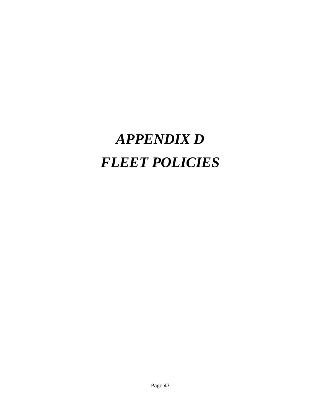# *APPENDIX D FLEET POLICIES*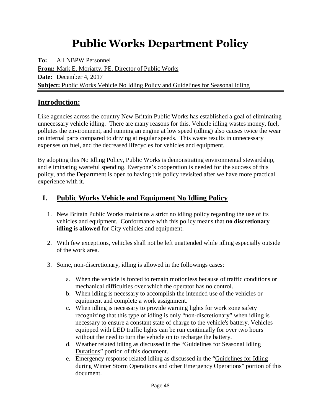## **Public Works Department Policy**

**To:** All NBPW Personnel **From:** Mark E. Moriarty, PE. Director of Public Works **Date:** December 4, 2017 **Subject:** Public Works Vehicle No Idling Policy and Guidelines for Seasonal Idling

### **Introduction:**

Like agencies across the country New Britain Public Works has established a goal of eliminating unnecessary vehicle idling. There are many reasons for this. Vehicle idling wastes money, fuel, pollutes the environment, and running an engine at low speed (idling) also causes twice the wear on internal parts compared to driving at regular speeds. This waste results in unnecessary expenses on fuel, and the decreased lifecycles for vehicles and equipment.

By adopting this No Idling Policy, Public Works is demonstrating environmental stewardship, and eliminating wasteful spending. Everyone's cooperation is needed for the success of this policy, and the Department is open to having this policy revisited after we have more practical experience with it.

### **I. Public Works Vehicle and Equipment No Idling Policy**

- 1. New Britain Public Works maintains a strict no idling policy regarding the use of its vehicles and equipment. Conformance with this policy means that **no discretionary idling is allowed** for City vehicles and equipment.
- 2. With few exceptions, vehicles shall not be left unattended while idling especially outside of the work area.
- 3. Some, non-discretionary, idling is allowed in the followings cases:
	- a. When the vehicle is forced to remain motionless because of traffic conditions or mechanical difficulties over which the operator has no control.
	- b. When idling is necessary to accomplish the intended use of the vehicles or equipment and complete a work assignment.
	- c. When idling is necessary to provide warning lights for work zone safety recognizing that this type of idling is only "non-discretionary" when idling is necessary to ensure a constant state of charge to the vehicle's battery. Vehicles equipped with LED traffic lights can be run continually for over two hours without the need to turn the vehicle on to recharge the battery.
	- d. Weather related idling as discussed in the "Guidelines for Seasonal Idling Durations" portion of this document.
	- e. Emergency response related idling as discussed in the "Guidelines for Idling during Winter Storm Operations and other Emergency Operations" portion of this document.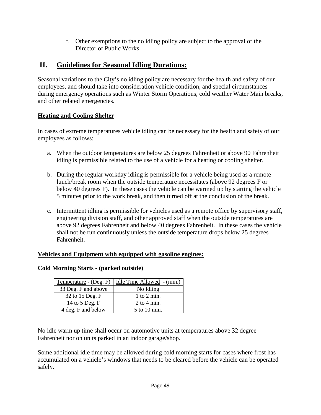f. Other exemptions to the no idling policy are subject to the approval of the Director of Public Works.

### **II. Guidelines for Seasonal Idling Durations:**

Seasonal variations to the City's no idling policy are necessary for the health and safety of our employees, and should take into consideration vehicle condition, and special circumstances during emergency operations such as Winter Storm Operations, cold weather Water Main breaks, and other related emergencies.

### **Heating and Cooling Shelter**

In cases of extreme temperatures vehicle idling can be necessary for the health and safety of our employees as follows:

- a. When the outdoor temperatures are below 25 degrees Fahrenheit or above 90 Fahrenheit idling is permissible related to the use of a vehicle for a heating or cooling shelter.
- b. During the regular workday idling is permissible for a vehicle being used as a remote lunch/break room when the outside temperature necessitates (above 92 degrees F or below 40 degrees F). In these cases the vehicle can be warmed up by starting the vehicle 5 minutes prior to the work break, and then turned off at the conclusion of the break.
- c. Intermittent idling is permissible for vehicles used as a remote office by supervisory staff, engineering division staff, and other approved staff when the outside temperatures are above 92 degrees Fahrenheit and below 40 degrees Fahrenheit. In these cases the vehicle shall not be run continuously unless the outside temperature drops below 25 degrees Fahrenheit.

### **Vehicles and Equipment with equipped with gasoline engines:**

| Temperature - (Deg. F) | Idle Time Allowed - (min.) |
|------------------------|----------------------------|
| 33 Deg. F and above    | No Idling                  |
| 32 to 15 Deg. F        | $1$ to $2$ min.            |
| 14 to 5 Deg. F         | $2$ to 4 min.              |
| 4 deg. F and below     | 5 to 10 min.               |

### **Cold Morning Starts - (parked outside)**

No idle warm up time shall occur on automotive units at temperatures above 32 degree Fahrenheit nor on units parked in an indoor garage/shop.

Some additional idle time may be allowed during cold morning starts for cases where frost has accumulated on a vehicle's windows that needs to be cleared before the vehicle can be operated safely.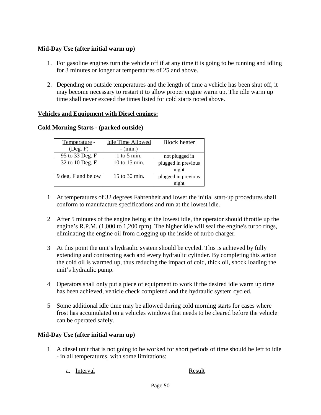### **Mid-Day Use (after initial warm up)**

- 1. For gasoline engines turn the vehicle off if at any time it is going to be running and idling for 3 minutes or longer at temperatures of 25 and above.
- 2. Depending on outside temperatures and the length of time a vehicle has been shut off, it may become necessary to restart it to allow proper engine warm up. The idle warm up time shall never exceed the times listed for cold starts noted above.

### **Vehicles and Equipment with Diesel engines:**

| Temperature -      | <b>Idle Time Allowed</b> | <b>Block</b> heater |
|--------------------|--------------------------|---------------------|
| $($ Deg. $F)$      | $-$ (min.)               |                     |
| 95 to 33 Deg. F    | 1 to 5 min.              | not plugged in      |
| 32 to 10 Deg. F    | 10 to 15 min.            | plugged in previous |
|                    |                          | night               |
| 9 deg. F and below | 15 to 30 min.            | plugged in previous |
|                    |                          | night               |

#### **Cold Morning Starts - (parked outside**)

- 1 At temperatures of 32 degrees Fahrenheit and lower the initial start-up procedures shall conform to manufacture specifications and run at the lowest idle.
- 2 After 5 minutes of the engine being at the lowest idle, the operator should throttle up the engine's R.P.M. (1,000 to 1,200 rpm). The higher idle will seal the engine's turbo rings, eliminating the engine oil from clogging up the inside of turbo charger.
- 3 At this point the unit's hydraulic system should be cycled. This is achieved by fully extending and contracting each and every hydraulic cylinder. By completing this action the cold oil is warmed up, thus reducing the impact of cold, thick oil, shock loading the unit's hydraulic pump.
- 4 Operators shall only put a piece of equipment to work if the desired idle warm up time has been achieved, vehicle check completed and the hydraulic system cycled.
- 5 Some additional idle time may be allowed during cold morning starts for cases where frost has accumulated on a vehicles windows that needs to be cleared before the vehicle can be operated safely.

### **Mid-Day Use (after initial warm up)**

- 1 A diesel unit that is not going to be worked for short periods of time should be left to idle - in all temperatures, with some limitations:
	- a. Interval Result